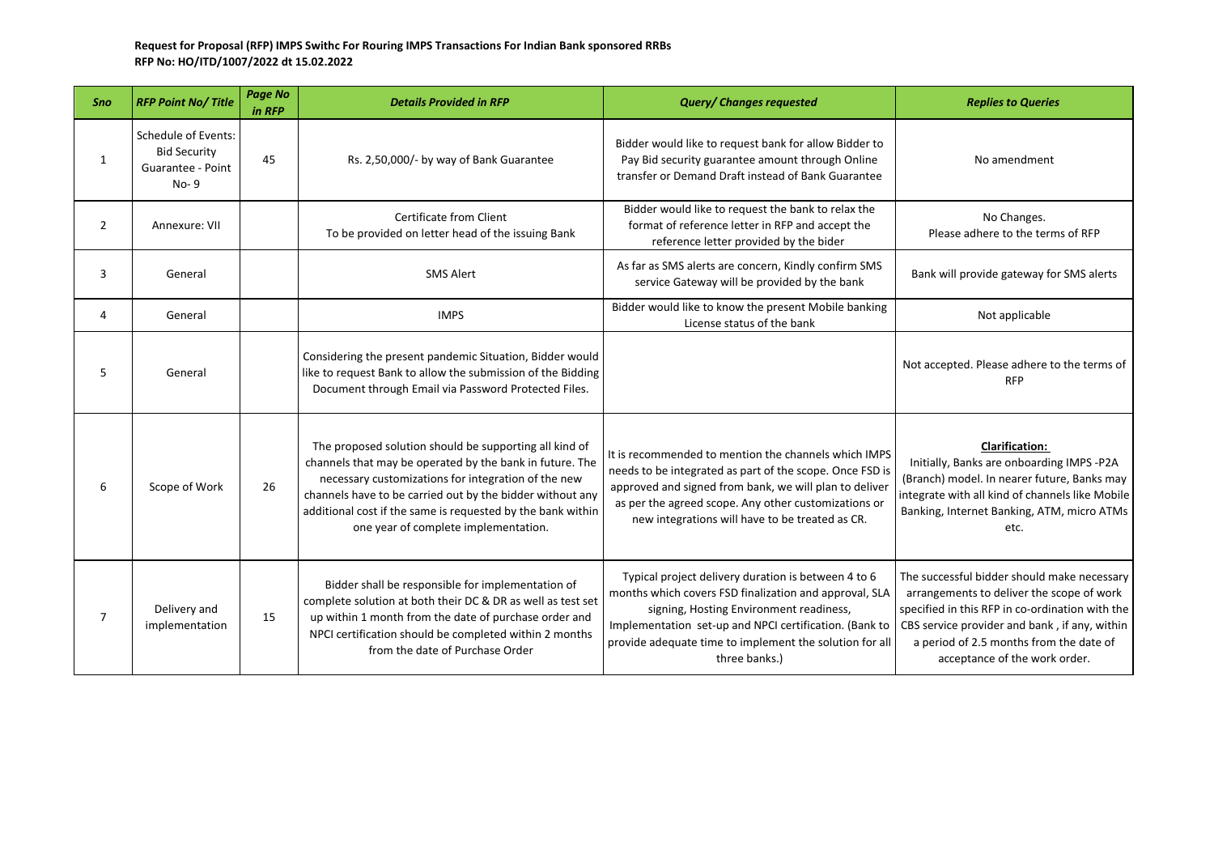## **Request for Proposal (RFP) IMPS Swithc For Rouring IMPS Transactions For Indian Bank sponsored RRBs RFP No: HO/ITD/1007/2022 dt 15.02.2022**

| Sno            | <b>RFP Point No/Title</b>                                                 | <b>Page No</b><br>in RFP | <b>Details Provided in RFP</b>                                                                                                                                                                                                                                                                                                                | <b>Query/ Changes requested</b>                                                                                                                                                                                                                                                                | <b>Replies to Queries</b>                                                                                                                                                                                                                                                |
|----------------|---------------------------------------------------------------------------|--------------------------|-----------------------------------------------------------------------------------------------------------------------------------------------------------------------------------------------------------------------------------------------------------------------------------------------------------------------------------------------|------------------------------------------------------------------------------------------------------------------------------------------------------------------------------------------------------------------------------------------------------------------------------------------------|--------------------------------------------------------------------------------------------------------------------------------------------------------------------------------------------------------------------------------------------------------------------------|
| $\mathbf{1}$   | Schedule of Events:<br><b>Bid Security</b><br>Guarantee - Point<br>$No-9$ | 45                       | Rs. 2,50,000/- by way of Bank Guarantee                                                                                                                                                                                                                                                                                                       | Bidder would like to request bank for allow Bidder to<br>Pay Bid security guarantee amount through Online<br>transfer or Demand Draft instead of Bank Guarantee                                                                                                                                | No amendment                                                                                                                                                                                                                                                             |
| $\overline{2}$ | Annexure: VII                                                             |                          | Certificate from Client<br>To be provided on letter head of the issuing Bank                                                                                                                                                                                                                                                                  | Bidder would like to request the bank to relax the<br>format of reference letter in RFP and accept the<br>reference letter provided by the bider                                                                                                                                               | No Changes.<br>Please adhere to the terms of RFP                                                                                                                                                                                                                         |
| 3              | General                                                                   |                          | <b>SMS Alert</b>                                                                                                                                                                                                                                                                                                                              | As far as SMS alerts are concern, Kindly confirm SMS<br>service Gateway will be provided by the bank                                                                                                                                                                                           | Bank will provide gateway for SMS alerts                                                                                                                                                                                                                                 |
| 4              | General                                                                   |                          | <b>IMPS</b>                                                                                                                                                                                                                                                                                                                                   | Bidder would like to know the present Mobile banking<br>License status of the bank                                                                                                                                                                                                             | Not applicable                                                                                                                                                                                                                                                           |
| 5              | General                                                                   |                          | Considering the present pandemic Situation, Bidder would<br>like to request Bank to allow the submission of the Bidding<br>Document through Email via Password Protected Files.                                                                                                                                                               |                                                                                                                                                                                                                                                                                                | Not accepted. Please adhere to the terms of<br><b>RFP</b>                                                                                                                                                                                                                |
| 6              | Scope of Work                                                             | 26                       | The proposed solution should be supporting all kind of<br>channels that may be operated by the bank in future. The<br>necessary customizations for integration of the new<br>channels have to be carried out by the bidder without any<br>additional cost if the same is requested by the bank within<br>one year of complete implementation. | It is recommended to mention the channels which IMPS<br>needs to be integrated as part of the scope. Once FSD is<br>approved and signed from bank, we will plan to deliver<br>as per the agreed scope. Any other customizations or<br>new integrations will have to be treated as CR.          | <b>Clarification:</b><br>Initially, Banks are onboarding IMPS -P2A<br>(Branch) model. In nearer future, Banks may<br>integrate with all kind of channels like Mobile<br>Banking, Internet Banking, ATM, micro ATMs<br>etc.                                               |
| $\overline{7}$ | Delivery and<br>implementation                                            | 15                       | Bidder shall be responsible for implementation of<br>complete solution at both their DC & DR as well as test set<br>up within 1 month from the date of purchase order and<br>NPCI certification should be completed within 2 months<br>from the date of Purchase Order                                                                        | Typical project delivery duration is between 4 to 6<br>months which covers FSD finalization and approval, SLA<br>signing, Hosting Environment readiness,<br>Implementation set-up and NPCI certification. (Bank to<br>provide adequate time to implement the solution for all<br>three banks.) | The successful bidder should make necessary<br>arrangements to deliver the scope of work<br>specified in this RFP in co-ordination with the<br>CBS service provider and bank, if any, within<br>a period of 2.5 months from the date of<br>acceptance of the work order. |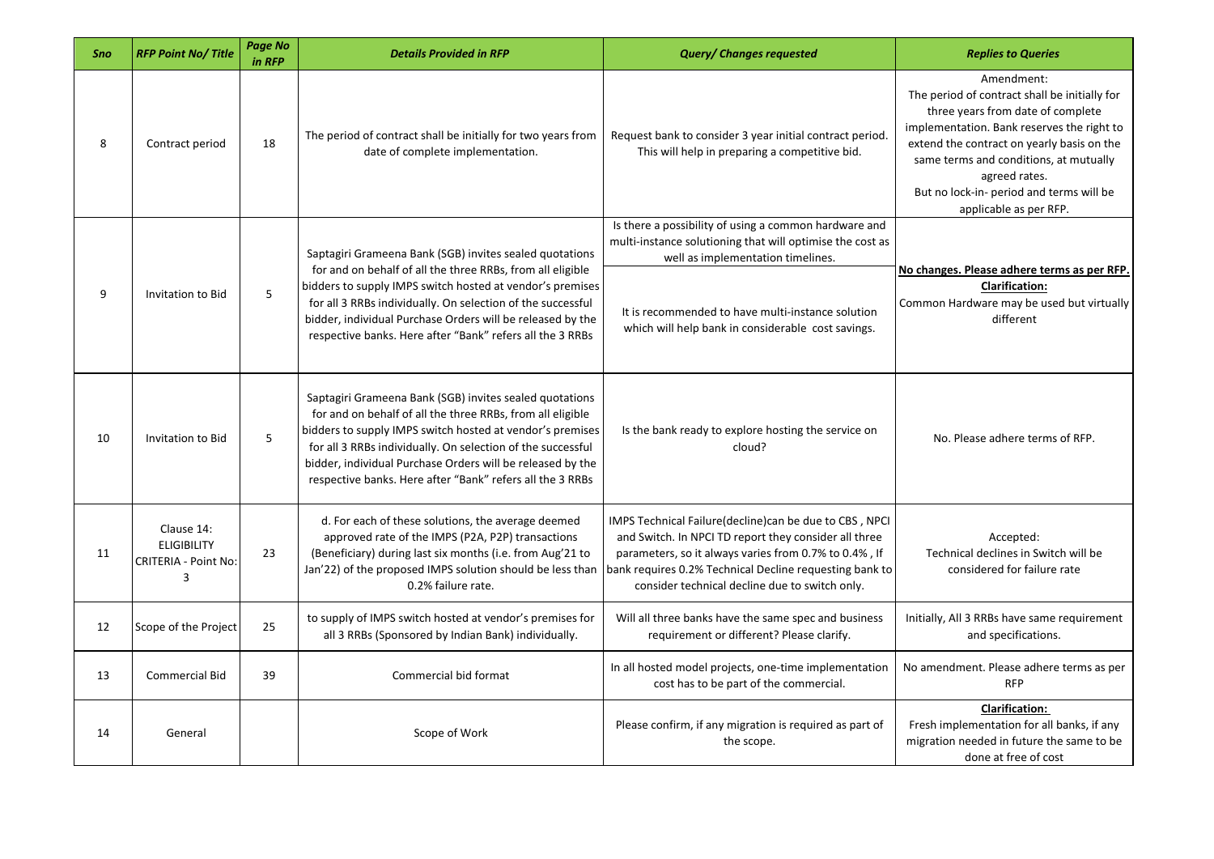| Sno | <b>RFP Point No/Title</b>                                            | Page No<br>in RFP | <b>Details Provided in RFP</b>                                                                                                                                                                                                                                                                                                                                               | <b>Query/ Changes requested</b>                                                                                                                                                                                                                                                        | <b>Replies to Queries</b>                                                                                                                                                                                                                                                                                                     |
|-----|----------------------------------------------------------------------|-------------------|------------------------------------------------------------------------------------------------------------------------------------------------------------------------------------------------------------------------------------------------------------------------------------------------------------------------------------------------------------------------------|----------------------------------------------------------------------------------------------------------------------------------------------------------------------------------------------------------------------------------------------------------------------------------------|-------------------------------------------------------------------------------------------------------------------------------------------------------------------------------------------------------------------------------------------------------------------------------------------------------------------------------|
| 8   | Contract period                                                      | 18                | The period of contract shall be initially for two years from<br>date of complete implementation.                                                                                                                                                                                                                                                                             | Request bank to consider 3 year initial contract period.<br>This will help in preparing a competitive bid.                                                                                                                                                                             | Amendment:<br>The period of contract shall be initially for<br>three years from date of complete<br>implementation. Bank reserves the right to<br>extend the contract on yearly basis on the<br>same terms and conditions, at mutually<br>agreed rates.<br>But no lock-in- period and terms will be<br>applicable as per RFP. |
|     |                                                                      |                   | Saptagiri Grameena Bank (SGB) invites sealed quotations<br>for and on behalf of all the three RRBs, from all eligible                                                                                                                                                                                                                                                        | Is there a possibility of using a common hardware and<br>multi-instance solutioning that will optimise the cost as<br>well as implementation timelines.                                                                                                                                |                                                                                                                                                                                                                                                                                                                               |
| 9   | Invitation to Bid                                                    | 5                 | bidders to supply IMPS switch hosted at vendor's premises<br>for all 3 RRBs individually. On selection of the successful<br>bidder, individual Purchase Orders will be released by the<br>respective banks. Here after "Bank" refers all the 3 RRBs                                                                                                                          | It is recommended to have multi-instance solution<br>which will help bank in considerable cost savings.                                                                                                                                                                                | No changes. Please adhere terms as per RFP.<br><b>Clarification:</b><br>Common Hardware may be used but virtually<br>different                                                                                                                                                                                                |
| 10  | Invitation to Bid                                                    | 5                 | Saptagiri Grameena Bank (SGB) invites sealed quotations<br>for and on behalf of all the three RRBs, from all eligible<br>bidders to supply IMPS switch hosted at vendor's premises<br>for all 3 RRBs individually. On selection of the successful<br>bidder, individual Purchase Orders will be released by the<br>respective banks. Here after "Bank" refers all the 3 RRBs | Is the bank ready to explore hosting the service on<br>cloud?                                                                                                                                                                                                                          | No. Please adhere terms of RFP.                                                                                                                                                                                                                                                                                               |
| 11  | Clause 14:<br><b>ELIGIBILITY</b><br><b>CRITERIA - Point No:</b><br>3 | 23                | d. For each of these solutions, the average deemed<br>approved rate of the IMPS (P2A, P2P) transactions<br>(Beneficiary) during last six months (i.e. from Aug'21 to<br>Jan'22) of the proposed IMPS solution should be less than<br>0.2% failure rate.                                                                                                                      | IMPS Technical Failure(decline) can be due to CBS, NPCI<br>and Switch. In NPCI TD report they consider all three<br>parameters, so it always varies from 0.7% to 0.4%, If<br>bank requires 0.2% Technical Decline requesting bank to<br>consider technical decline due to switch only. | Accepted:<br>Technical declines in Switch will be<br>considered for failure rate                                                                                                                                                                                                                                              |
| 12  | Scope of the Project                                                 | 25                | to supply of IMPS switch hosted at vendor's premises for<br>all 3 RRBs (Sponsored by Indian Bank) individually.                                                                                                                                                                                                                                                              | Will all three banks have the same spec and business<br>requirement or different? Please clarify.                                                                                                                                                                                      | Initially, All 3 RRBs have same requirement<br>and specifications.                                                                                                                                                                                                                                                            |
| 13  | <b>Commercial Bid</b>                                                | 39                | Commercial bid format                                                                                                                                                                                                                                                                                                                                                        | In all hosted model projects, one-time implementation<br>cost has to be part of the commercial.                                                                                                                                                                                        | No amendment. Please adhere terms as per<br><b>RFP</b>                                                                                                                                                                                                                                                                        |
| 14  | General                                                              |                   | Scope of Work                                                                                                                                                                                                                                                                                                                                                                | Please confirm, if any migration is required as part of<br>the scope.                                                                                                                                                                                                                  | <b>Clarification:</b><br>Fresh implementation for all banks, if any<br>migration needed in future the same to be<br>done at free of cost                                                                                                                                                                                      |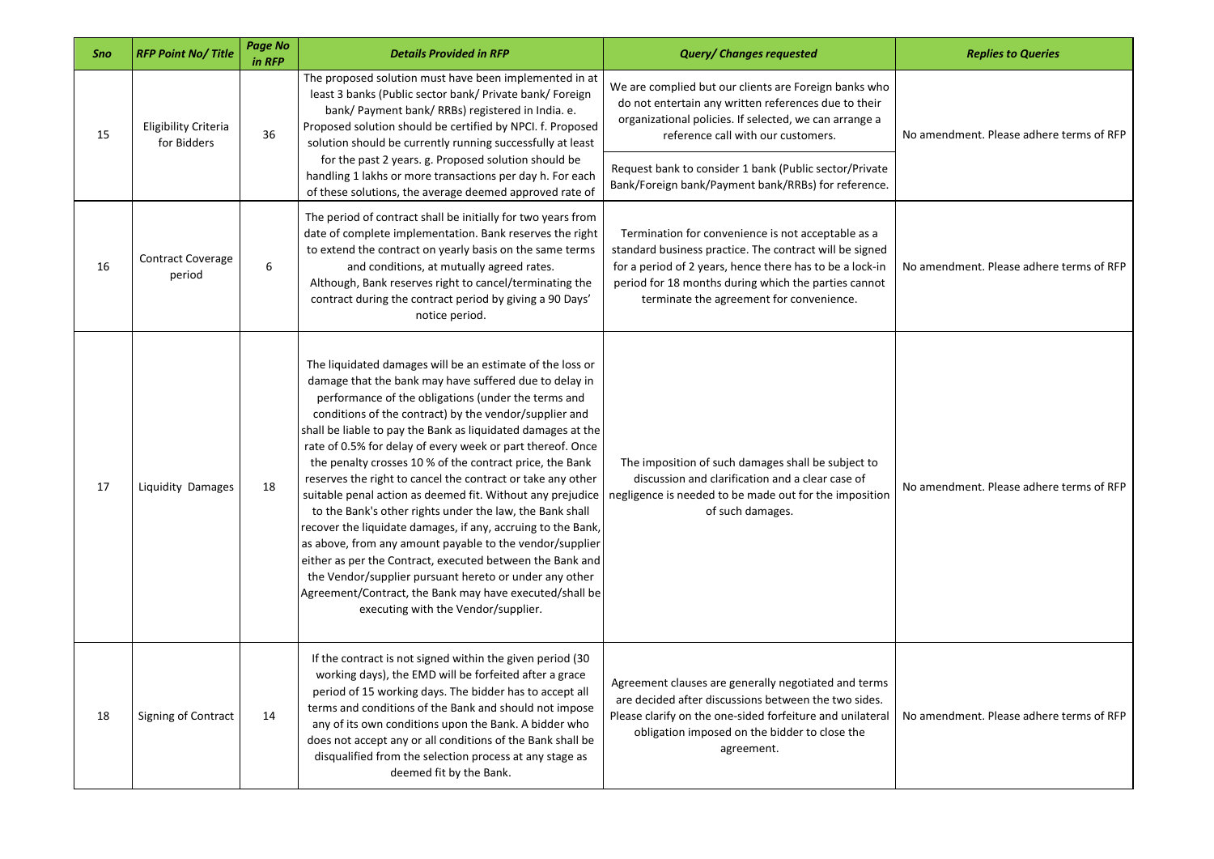| Sno | <b>RFP Point No/Title</b>                  | <b>Page No</b><br>in RFP | <b>Details Provided in RFP</b>                                                                                                                                                                                                                                                                                                                                                                                                                                                                                                                                                                                                                                                                                                                                                                                                                                                                                                                                               | <b>Query/ Changes requested</b>                                                                                                                                                                                                                                               | <b>Replies to Queries</b>                |
|-----|--------------------------------------------|--------------------------|------------------------------------------------------------------------------------------------------------------------------------------------------------------------------------------------------------------------------------------------------------------------------------------------------------------------------------------------------------------------------------------------------------------------------------------------------------------------------------------------------------------------------------------------------------------------------------------------------------------------------------------------------------------------------------------------------------------------------------------------------------------------------------------------------------------------------------------------------------------------------------------------------------------------------------------------------------------------------|-------------------------------------------------------------------------------------------------------------------------------------------------------------------------------------------------------------------------------------------------------------------------------|------------------------------------------|
| 15  | <b>Eligibility Criteria</b><br>for Bidders | 36                       | The proposed solution must have been implemented in at<br>least 3 banks (Public sector bank/ Private bank/ Foreign<br>bank/ Payment bank/ RRBs) registered in India. e.<br>Proposed solution should be certified by NPCI. f. Proposed<br>solution should be currently running successfully at least<br>for the past 2 years. g. Proposed solution should be                                                                                                                                                                                                                                                                                                                                                                                                                                                                                                                                                                                                                  | We are complied but our clients are Foreign banks who<br>do not entertain any written references due to their<br>organizational policies. If selected, we can arrange a<br>reference call with our customers.                                                                 | No amendment. Please adhere terms of RFP |
|     |                                            |                          | handling 1 lakhs or more transactions per day h. For each<br>of these solutions, the average deemed approved rate of                                                                                                                                                                                                                                                                                                                                                                                                                                                                                                                                                                                                                                                                                                                                                                                                                                                         | Request bank to consider 1 bank (Public sector/Private<br>Bank/Foreign bank/Payment bank/RRBs) for reference.                                                                                                                                                                 |                                          |
| 16  | <b>Contract Coverage</b><br>period         | 6                        | The period of contract shall be initially for two years from<br>date of complete implementation. Bank reserves the right<br>to extend the contract on yearly basis on the same terms<br>and conditions, at mutually agreed rates.<br>Although, Bank reserves right to cancel/terminating the<br>contract during the contract period by giving a 90 Days'<br>notice period.                                                                                                                                                                                                                                                                                                                                                                                                                                                                                                                                                                                                   | Termination for convenience is not acceptable as a<br>standard business practice. The contract will be signed<br>for a period of 2 years, hence there has to be a lock-in<br>period for 18 months during which the parties cannot<br>terminate the agreement for convenience. | No amendment. Please adhere terms of RFP |
| 17  | Liquidity Damages                          | 18                       | The liquidated damages will be an estimate of the loss or<br>damage that the bank may have suffered due to delay in<br>performance of the obligations (under the terms and<br>conditions of the contract) by the vendor/supplier and<br>shall be liable to pay the Bank as liquidated damages at the<br>rate of 0.5% for delay of every week or part thereof. Once<br>the penalty crosses 10 % of the contract price, the Bank<br>reserves the right to cancel the contract or take any other<br>suitable penal action as deemed fit. Without any prejudice<br>to the Bank's other rights under the law, the Bank shall<br>recover the liquidate damages, if any, accruing to the Bank,<br>as above, from any amount payable to the vendor/supplier<br>either as per the Contract, executed between the Bank and<br>the Vendor/supplier pursuant hereto or under any other<br>Agreement/Contract, the Bank may have executed/shall be<br>executing with the Vendor/supplier. | The imposition of such damages shall be subject to<br>discussion and clarification and a clear case of<br>negligence is needed to be made out for the imposition<br>of such damages.                                                                                          | No amendment. Please adhere terms of RFP |
| 18  | Signing of Contract                        | 14                       | If the contract is not signed within the given period (30)<br>working days), the EMD will be forfeited after a grace<br>period of 15 working days. The bidder has to accept all<br>terms and conditions of the Bank and should not impose<br>any of its own conditions upon the Bank. A bidder who<br>does not accept any or all conditions of the Bank shall be<br>disqualified from the selection process at any stage as<br>deemed fit by the Bank.                                                                                                                                                                                                                                                                                                                                                                                                                                                                                                                       | Agreement clauses are generally negotiated and terms<br>are decided after discussions between the two sides.<br>Please clarify on the one-sided forfeiture and unilateral<br>obligation imposed on the bidder to close the<br>agreement.                                      | No amendment. Please adhere terms of RFP |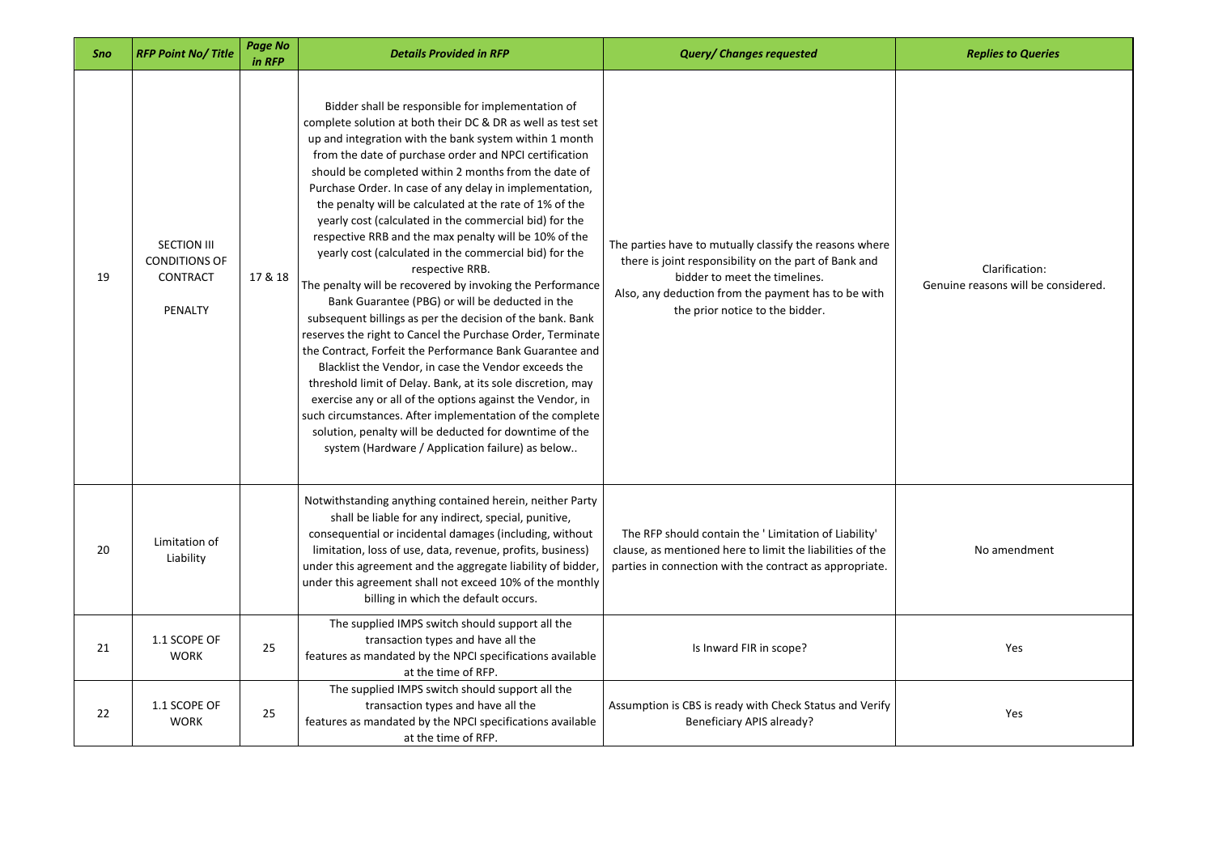| Sno | <b>RFP Point No/Title</b>                                                | Page No<br>in RFP | <b>Details Provided in RFP</b>                                                                                                                                                                                                                                                                                                                                                                                                                                                                                                                                                                                                                                                                                                                                                                                                                                                                                                                                                                                                                                                                                                                                                                                                                                                          | <b>Query/ Changes requested</b>                                                                                                                                                                                                             | <b>Replies to Queries</b>                             |
|-----|--------------------------------------------------------------------------|-------------------|-----------------------------------------------------------------------------------------------------------------------------------------------------------------------------------------------------------------------------------------------------------------------------------------------------------------------------------------------------------------------------------------------------------------------------------------------------------------------------------------------------------------------------------------------------------------------------------------------------------------------------------------------------------------------------------------------------------------------------------------------------------------------------------------------------------------------------------------------------------------------------------------------------------------------------------------------------------------------------------------------------------------------------------------------------------------------------------------------------------------------------------------------------------------------------------------------------------------------------------------------------------------------------------------|---------------------------------------------------------------------------------------------------------------------------------------------------------------------------------------------------------------------------------------------|-------------------------------------------------------|
| 19  | <b>SECTION III</b><br><b>CONDITIONS OF</b><br><b>CONTRACT</b><br>PENALTY | 17 & 18           | Bidder shall be responsible for implementation of<br>complete solution at both their DC & DR as well as test set<br>up and integration with the bank system within 1 month<br>from the date of purchase order and NPCI certification<br>should be completed within 2 months from the date of<br>Purchase Order. In case of any delay in implementation,<br>the penalty will be calculated at the rate of 1% of the<br>yearly cost (calculated in the commercial bid) for the<br>respective RRB and the max penalty will be 10% of the<br>yearly cost (calculated in the commercial bid) for the<br>respective RRB.<br>The penalty will be recovered by invoking the Performance<br>Bank Guarantee (PBG) or will be deducted in the<br>subsequent billings as per the decision of the bank. Bank<br>reserves the right to Cancel the Purchase Order, Terminate<br>the Contract, Forfeit the Performance Bank Guarantee and<br>Blacklist the Vendor, in case the Vendor exceeds the<br>threshold limit of Delay. Bank, at its sole discretion, may<br>exercise any or all of the options against the Vendor, in<br>such circumstances. After implementation of the complete<br>solution, penalty will be deducted for downtime of the<br>system (Hardware / Application failure) as below | The parties have to mutually classify the reasons where<br>there is joint responsibility on the part of Bank and<br>bidder to meet the timelines.<br>Also, any deduction from the payment has to be with<br>the prior notice to the bidder. | Clarification:<br>Genuine reasons will be considered. |
| 20  | Limitation of<br>Liability                                               |                   | Notwithstanding anything contained herein, neither Party<br>shall be liable for any indirect, special, punitive,<br>consequential or incidental damages (including, without<br>limitation, loss of use, data, revenue, profits, business)<br>under this agreement and the aggregate liability of bidder<br>under this agreement shall not exceed 10% of the monthly<br>billing in which the default occurs.                                                                                                                                                                                                                                                                                                                                                                                                                                                                                                                                                                                                                                                                                                                                                                                                                                                                             | The RFP should contain the 'Limitation of Liability'<br>clause, as mentioned here to limit the liabilities of the<br>parties in connection with the contract as appropriate.                                                                | No amendment                                          |
| 21  | 1.1 SCOPE OF<br><b>WORK</b>                                              | 25                | The supplied IMPS switch should support all the<br>transaction types and have all the<br>features as mandated by the NPCI specifications available<br>at the time of RFP.                                                                                                                                                                                                                                                                                                                                                                                                                                                                                                                                                                                                                                                                                                                                                                                                                                                                                                                                                                                                                                                                                                               | Is Inward FIR in scope?                                                                                                                                                                                                                     | Yes                                                   |
| 22  | 1.1 SCOPE OF<br><b>WORK</b>                                              | 25                | The supplied IMPS switch should support all the<br>transaction types and have all the<br>features as mandated by the NPCI specifications available<br>at the time of RFP.                                                                                                                                                                                                                                                                                                                                                                                                                                                                                                                                                                                                                                                                                                                                                                                                                                                                                                                                                                                                                                                                                                               | Assumption is CBS is ready with Check Status and Verify<br>Beneficiary APIS already?                                                                                                                                                        | Yes                                                   |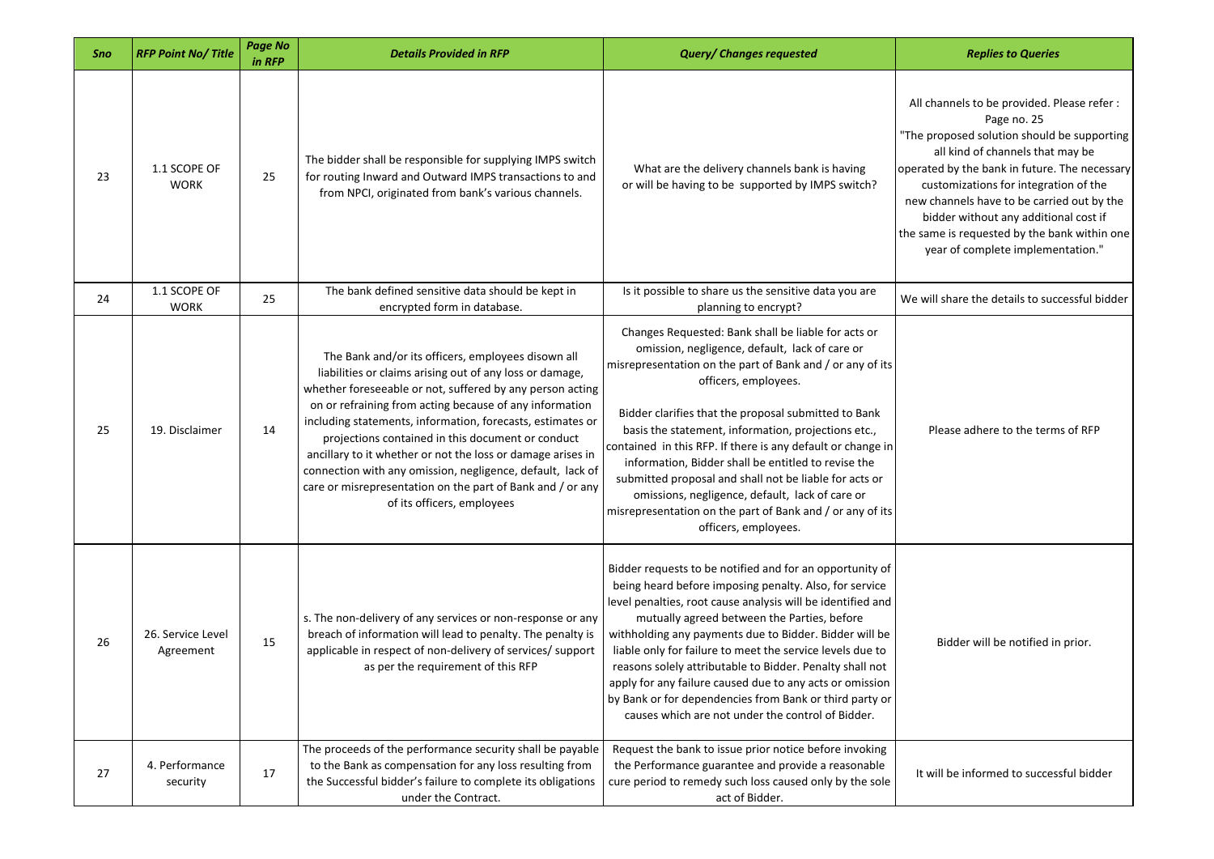| Sno | <b>RFP Point No/Title</b>      | <b>Page No</b><br>in RFP | <b>Details Provided in RFP</b>                                                                                                                                                                                                                                                                                                                                                                                                                                                                                                                                                     | <b>Query/ Changes requested</b>                                                                                                                                                                                                                                                                                                                                                                                                                                                                                                                                                                                                   | <b>Replies to Queries</b>                                                                                                                                                                                                                                                                                                                                                                                           |
|-----|--------------------------------|--------------------------|------------------------------------------------------------------------------------------------------------------------------------------------------------------------------------------------------------------------------------------------------------------------------------------------------------------------------------------------------------------------------------------------------------------------------------------------------------------------------------------------------------------------------------------------------------------------------------|-----------------------------------------------------------------------------------------------------------------------------------------------------------------------------------------------------------------------------------------------------------------------------------------------------------------------------------------------------------------------------------------------------------------------------------------------------------------------------------------------------------------------------------------------------------------------------------------------------------------------------------|---------------------------------------------------------------------------------------------------------------------------------------------------------------------------------------------------------------------------------------------------------------------------------------------------------------------------------------------------------------------------------------------------------------------|
| 23  | 1.1 SCOPE OF<br><b>WORK</b>    | 25                       | The bidder shall be responsible for supplying IMPS switch<br>for routing Inward and Outward IMPS transactions to and<br>from NPCI, originated from bank's various channels.                                                                                                                                                                                                                                                                                                                                                                                                        | What are the delivery channels bank is having<br>or will be having to be supported by IMPS switch?                                                                                                                                                                                                                                                                                                                                                                                                                                                                                                                                | All channels to be provided. Please refer :<br>Page no. 25<br>"The proposed solution should be supporting<br>all kind of channels that may be<br>operated by the bank in future. The necessary<br>customizations for integration of the<br>new channels have to be carried out by the<br>bidder without any additional cost if<br>the same is requested by the bank within one<br>year of complete implementation." |
| 24  | 1.1 SCOPE OF<br><b>WORK</b>    | 25                       | The bank defined sensitive data should be kept in<br>encrypted form in database.                                                                                                                                                                                                                                                                                                                                                                                                                                                                                                   | Is it possible to share us the sensitive data you are<br>planning to encrypt?                                                                                                                                                                                                                                                                                                                                                                                                                                                                                                                                                     | We will share the details to successful bidder                                                                                                                                                                                                                                                                                                                                                                      |
| 25  | 19. Disclaimer                 | 14                       | The Bank and/or its officers, employees disown all<br>liabilities or claims arising out of any loss or damage,<br>whether foreseeable or not, suffered by any person acting<br>on or refraining from acting because of any information<br>including statements, information, forecasts, estimates or<br>projections contained in this document or conduct<br>ancillary to it whether or not the loss or damage arises in<br>connection with any omission, negligence, default, lack of<br>care or misrepresentation on the part of Bank and / or any<br>of its officers, employees | Changes Requested: Bank shall be liable for acts or<br>omission, negligence, default, lack of care or<br>misrepresentation on the part of Bank and / or any of its<br>officers, employees.<br>Bidder clarifies that the proposal submitted to Bank<br>basis the statement, information, projections etc.,<br>contained in this RFP. If there is any default or change in<br>information, Bidder shall be entitled to revise the<br>submitted proposal and shall not be liable for acts or<br>omissions, negligence, default, lack of care or<br>misrepresentation on the part of Bank and / or any of its<br>officers, employees. | Please adhere to the terms of RFP                                                                                                                                                                                                                                                                                                                                                                                   |
| 26  | 26. Service Level<br>Agreement | 15                       | s. The non-delivery of any services or non-response or any<br>breach of information will lead to penalty. The penalty is<br>applicable in respect of non-delivery of services/ support<br>as per the requirement of this RFP                                                                                                                                                                                                                                                                                                                                                       | Bidder requests to be notified and for an opportunity of<br>being heard before imposing penalty. Also, for service<br>level penalties, root cause analysis will be identified and<br>mutually agreed between the Parties, before<br>withholding any payments due to Bidder. Bidder will be<br>liable only for failure to meet the service levels due to<br>reasons solely attributable to Bidder. Penalty shall not<br>apply for any failure caused due to any acts or omission<br>by Bank or for dependencies from Bank or third party or<br>causes which are not under the control of Bidder.                                   | Bidder will be notified in prior.                                                                                                                                                                                                                                                                                                                                                                                   |
| 27  | 4. Performance<br>security     | 17                       | The proceeds of the performance security shall be payable<br>to the Bank as compensation for any loss resulting from<br>the Successful bidder's failure to complete its obligations<br>under the Contract.                                                                                                                                                                                                                                                                                                                                                                         | Request the bank to issue prior notice before invoking<br>the Performance guarantee and provide a reasonable<br>cure period to remedy such loss caused only by the sole<br>act of Bidder.                                                                                                                                                                                                                                                                                                                                                                                                                                         | It will be informed to successful bidder                                                                                                                                                                                                                                                                                                                                                                            |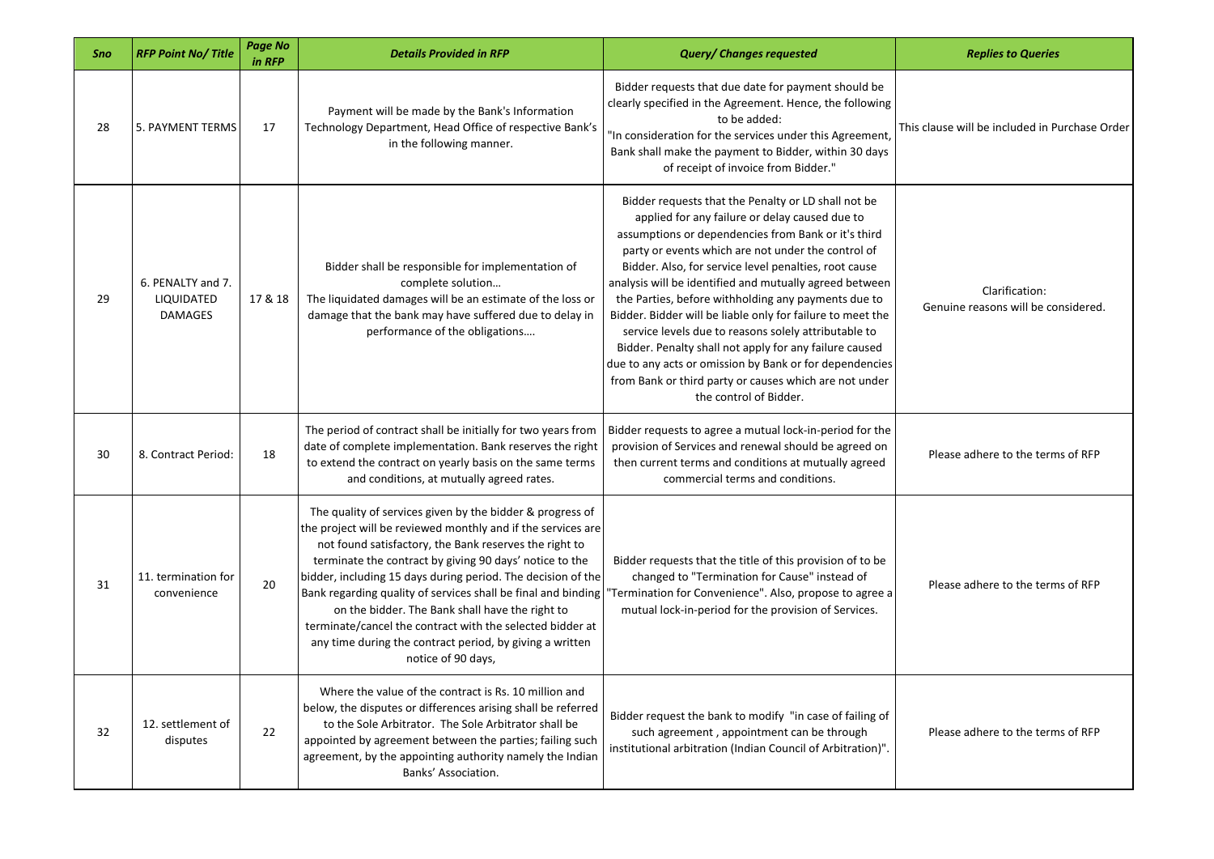| Sno | <b>RFP Point No/Title</b>                         | <b>Page No</b><br>in RFP | <b>Details Provided in RFP</b>                                                                                                                                                                                                                                                                                                                                                                                                                                                                                                                                                    | <b>Query/ Changes requested</b>                                                                                                                                                                                                                                                                                                                                                                                                                                                                                                                                                                                                                                                                                              | <b>Replies to Queries</b>                             |
|-----|---------------------------------------------------|--------------------------|-----------------------------------------------------------------------------------------------------------------------------------------------------------------------------------------------------------------------------------------------------------------------------------------------------------------------------------------------------------------------------------------------------------------------------------------------------------------------------------------------------------------------------------------------------------------------------------|------------------------------------------------------------------------------------------------------------------------------------------------------------------------------------------------------------------------------------------------------------------------------------------------------------------------------------------------------------------------------------------------------------------------------------------------------------------------------------------------------------------------------------------------------------------------------------------------------------------------------------------------------------------------------------------------------------------------------|-------------------------------------------------------|
| 28  | <b>5. PAYMENT TERMS</b>                           | 17                       | Payment will be made by the Bank's Information<br>Technology Department, Head Office of respective Bank's<br>in the following manner.                                                                                                                                                                                                                                                                                                                                                                                                                                             | Bidder requests that due date for payment should be<br>clearly specified in the Agreement. Hence, the following<br>to be added:<br>'In consideration for the services under this Agreement,<br>Bank shall make the payment to Bidder, within 30 days<br>of receipt of invoice from Bidder."                                                                                                                                                                                                                                                                                                                                                                                                                                  | This clause will be included in Purchase Order        |
| 29  | 6. PENALTY and 7.<br>LIQUIDATED<br><b>DAMAGES</b> | 17 & 18                  | Bidder shall be responsible for implementation of<br>complete solution<br>The liquidated damages will be an estimate of the loss or<br>damage that the bank may have suffered due to delay in<br>performance of the obligations                                                                                                                                                                                                                                                                                                                                                   | Bidder requests that the Penalty or LD shall not be<br>applied for any failure or delay caused due to<br>assumptions or dependencies from Bank or it's third<br>party or events which are not under the control of<br>Bidder. Also, for service level penalties, root cause<br>analysis will be identified and mutually agreed between<br>the Parties, before withholding any payments due to<br>Bidder. Bidder will be liable only for failure to meet the<br>service levels due to reasons solely attributable to<br>Bidder. Penalty shall not apply for any failure caused<br>due to any acts or omission by Bank or for dependencies<br>from Bank or third party or causes which are not under<br>the control of Bidder. | Clarification:<br>Genuine reasons will be considered. |
| 30  | 8. Contract Period:                               | 18                       | The period of contract shall be initially for two years from<br>date of complete implementation. Bank reserves the right<br>to extend the contract on yearly basis on the same terms<br>and conditions, at mutually agreed rates.                                                                                                                                                                                                                                                                                                                                                 | Bidder requests to agree a mutual lock-in-period for the<br>provision of Services and renewal should be agreed on<br>then current terms and conditions at mutually agreed<br>commercial terms and conditions.                                                                                                                                                                                                                                                                                                                                                                                                                                                                                                                | Please adhere to the terms of RFP                     |
| 31  | 11. termination for<br>convenience                | 20                       | The quality of services given by the bidder & progress of<br>the project will be reviewed monthly and if the services are<br>not found satisfactory, the Bank reserves the right to<br>terminate the contract by giving 90 days' notice to the<br>bidder, including 15 days during period. The decision of the<br>Bank regarding quality of services shall be final and binding<br>on the bidder. The Bank shall have the right to<br>terminate/cancel the contract with the selected bidder at<br>any time during the contract period, by giving a written<br>notice of 90 days, | Bidder requests that the title of this provision of to be<br>changed to "Termination for Cause" instead of<br>"Termination for Convenience". Also, propose to agree a<br>mutual lock-in-period for the provision of Services.                                                                                                                                                                                                                                                                                                                                                                                                                                                                                                | Please adhere to the terms of RFP                     |
| 32  | 12. settlement of<br>disputes                     | 22                       | Where the value of the contract is Rs. 10 million and<br>below, the disputes or differences arising shall be referred<br>to the Sole Arbitrator. The Sole Arbitrator shall be<br>appointed by agreement between the parties; failing such<br>agreement, by the appointing authority namely the Indian<br>Banks' Association.                                                                                                                                                                                                                                                      | Bidder request the bank to modify "in case of failing of<br>such agreement, appointment can be through<br>institutional arbitration (Indian Council of Arbitration)".                                                                                                                                                                                                                                                                                                                                                                                                                                                                                                                                                        | Please adhere to the terms of RFP                     |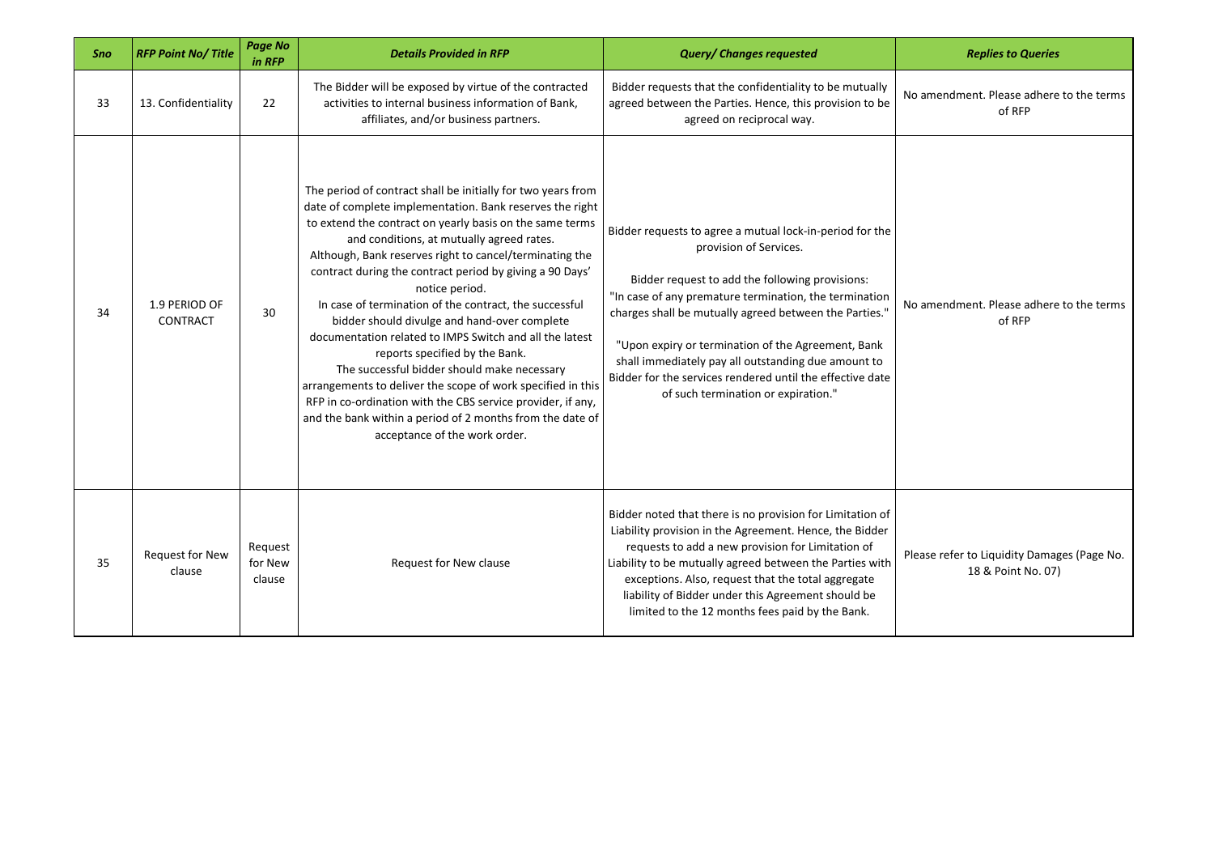| Sno | <b>RFP Point No/Title</b>        | <b>Page No</b><br>in RFP     | <b>Details Provided in RFP</b>                                                                                                                                                                                                                                                                                                                                                                                                                                                                                                                                                                                                                                                                                                                                                                                                                               | <b>Query/ Changes requested</b>                                                                                                                                                                                                                                                                                                                                                                                                                                            | <b>Replies to Queries</b>                                         |
|-----|----------------------------------|------------------------------|--------------------------------------------------------------------------------------------------------------------------------------------------------------------------------------------------------------------------------------------------------------------------------------------------------------------------------------------------------------------------------------------------------------------------------------------------------------------------------------------------------------------------------------------------------------------------------------------------------------------------------------------------------------------------------------------------------------------------------------------------------------------------------------------------------------------------------------------------------------|----------------------------------------------------------------------------------------------------------------------------------------------------------------------------------------------------------------------------------------------------------------------------------------------------------------------------------------------------------------------------------------------------------------------------------------------------------------------------|-------------------------------------------------------------------|
| 33  | 13. Confidentiality              | 22                           | The Bidder will be exposed by virtue of the contracted<br>activities to internal business information of Bank,<br>affiliates, and/or business partners.                                                                                                                                                                                                                                                                                                                                                                                                                                                                                                                                                                                                                                                                                                      | Bidder requests that the confidentiality to be mutually<br>agreed between the Parties. Hence, this provision to be<br>agreed on reciprocal way.                                                                                                                                                                                                                                                                                                                            | No amendment. Please adhere to the terms<br>of RFP                |
| 34  | 1.9 PERIOD OF<br><b>CONTRACT</b> | 30                           | The period of contract shall be initially for two years from<br>date of complete implementation. Bank reserves the right<br>to extend the contract on yearly basis on the same terms<br>and conditions, at mutually agreed rates.<br>Although, Bank reserves right to cancel/terminating the<br>contract during the contract period by giving a 90 Days'<br>notice period.<br>In case of termination of the contract, the successful<br>bidder should divulge and hand-over complete<br>documentation related to IMPS Switch and all the latest<br>reports specified by the Bank.<br>The successful bidder should make necessary<br>arrangements to deliver the scope of work specified in this<br>RFP in co-ordination with the CBS service provider, if any,<br>and the bank within a period of 2 months from the date of<br>acceptance of the work order. | Bidder requests to agree a mutual lock-in-period for the<br>provision of Services.<br>Bidder request to add the following provisions:<br>"In case of any premature termination, the termination<br>charges shall be mutually agreed between the Parties."<br>"Upon expiry or termination of the Agreement, Bank<br>shall immediately pay all outstanding due amount to<br>Bidder for the services rendered until the effective date<br>of such termination or expiration." | No amendment. Please adhere to the terms<br>of RFP                |
| 35  | <b>Request for New</b><br>clause | Request<br>for New<br>clause | Request for New clause                                                                                                                                                                                                                                                                                                                                                                                                                                                                                                                                                                                                                                                                                                                                                                                                                                       | Bidder noted that there is no provision for Limitation of<br>Liability provision in the Agreement. Hence, the Bidder<br>requests to add a new provision for Limitation of<br>Liability to be mutually agreed between the Parties with<br>exceptions. Also, request that the total aggregate<br>liability of Bidder under this Agreement should be<br>limited to the 12 months fees paid by the Bank.                                                                       | Please refer to Liquidity Damages (Page No.<br>18 & Point No. 07) |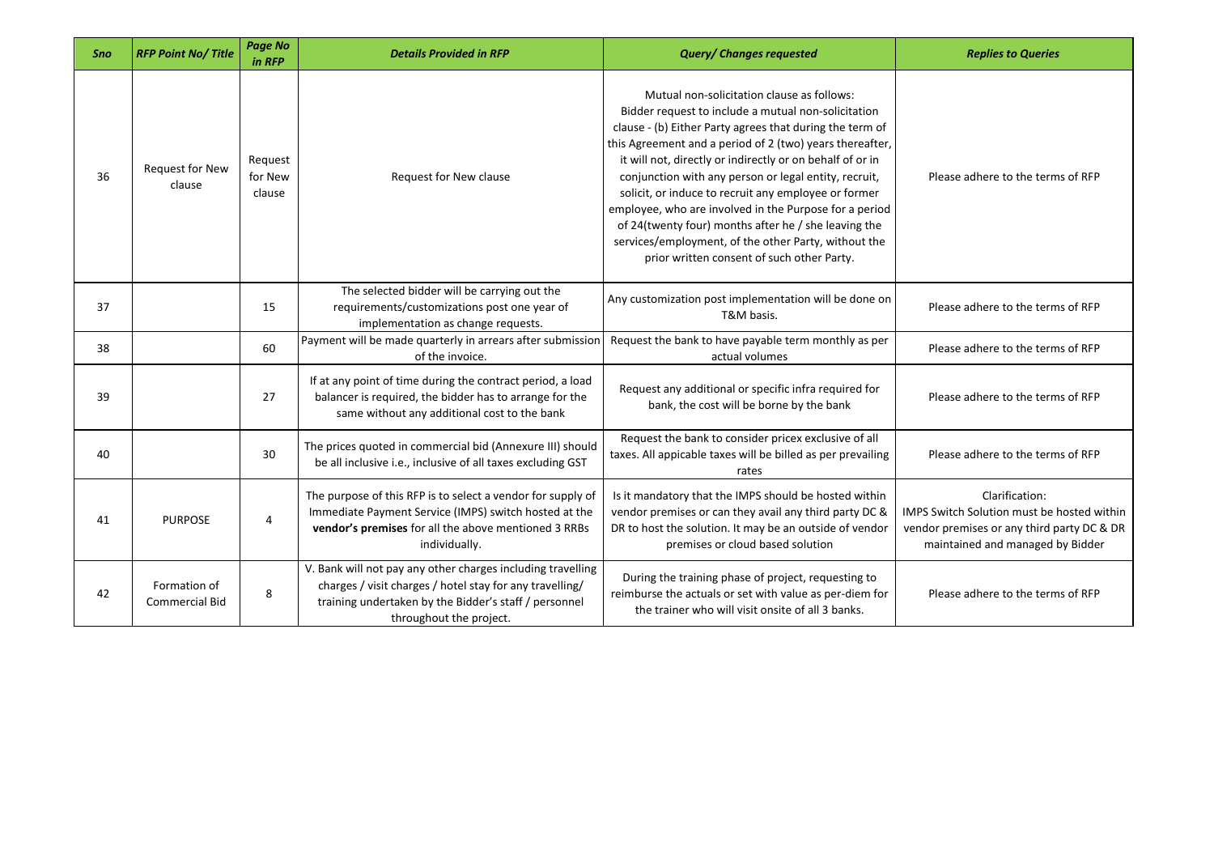| Sno | <b>RFP Point No/Title</b>             | <b>Page No</b><br>in RFP     | <b>Details Provided in RFP</b>                                                                                                                                                                              | <b>Query/ Changes requested</b>                                                                                                                                                                                                                                                                                                                                                                                                                                                                                                                                                                                                 | <b>Replies to Queries</b>                                                                                                                      |
|-----|---------------------------------------|------------------------------|-------------------------------------------------------------------------------------------------------------------------------------------------------------------------------------------------------------|---------------------------------------------------------------------------------------------------------------------------------------------------------------------------------------------------------------------------------------------------------------------------------------------------------------------------------------------------------------------------------------------------------------------------------------------------------------------------------------------------------------------------------------------------------------------------------------------------------------------------------|------------------------------------------------------------------------------------------------------------------------------------------------|
| 36  | <b>Request for New</b><br>clause      | Request<br>for New<br>clause | Request for New clause                                                                                                                                                                                      | Mutual non-solicitation clause as follows:<br>Bidder request to include a mutual non-solicitation<br>clause - (b) Either Party agrees that during the term of<br>this Agreement and a period of 2 (two) years thereafter,<br>it will not, directly or indirectly or on behalf of or in<br>conjunction with any person or legal entity, recruit,<br>solicit, or induce to recruit any employee or former<br>employee, who are involved in the Purpose for a period<br>of 24(twenty four) months after he / she leaving the<br>services/employment, of the other Party, without the<br>prior written consent of such other Party. | Please adhere to the terms of RFP                                                                                                              |
| 37  |                                       | 15                           | The selected bidder will be carrying out the<br>requirements/customizations post one year of<br>implementation as change requests.                                                                          | Any customization post implementation will be done on<br>T&M basis.                                                                                                                                                                                                                                                                                                                                                                                                                                                                                                                                                             | Please adhere to the terms of RFP                                                                                                              |
| 38  |                                       | 60                           | Payment will be made quarterly in arrears after submission<br>of the invoice.                                                                                                                               | Request the bank to have payable term monthly as per<br>actual volumes                                                                                                                                                                                                                                                                                                                                                                                                                                                                                                                                                          | Please adhere to the terms of RFP                                                                                                              |
| 39  |                                       | 27                           | If at any point of time during the contract period, a load<br>balancer is required, the bidder has to arrange for the<br>same without any additional cost to the bank                                       | Request any additional or specific infra required for<br>bank, the cost will be borne by the bank                                                                                                                                                                                                                                                                                                                                                                                                                                                                                                                               | Please adhere to the terms of RFP                                                                                                              |
| 40  |                                       | 30                           | The prices quoted in commercial bid (Annexure III) should<br>be all inclusive i.e., inclusive of all taxes excluding GST                                                                                    | Request the bank to consider pricex exclusive of all<br>taxes. All appicable taxes will be billed as per prevailing<br>rates                                                                                                                                                                                                                                                                                                                                                                                                                                                                                                    | Please adhere to the terms of RFP                                                                                                              |
| 41  | <b>PURPOSE</b>                        | 4                            | The purpose of this RFP is to select a vendor for supply of<br>Immediate Payment Service (IMPS) switch hosted at the<br>vendor's premises for all the above mentioned 3 RRBs<br>individually.               | Is it mandatory that the IMPS should be hosted within<br>vendor premises or can they avail any third party DC &<br>DR to host the solution. It may be an outside of vendor<br>premises or cloud based solution                                                                                                                                                                                                                                                                                                                                                                                                                  | Clarification:<br>IMPS Switch Solution must be hosted within<br>vendor premises or any third party DC & DR<br>maintained and managed by Bidder |
| 42  | Formation of<br><b>Commercial Bid</b> | 8                            | V. Bank will not pay any other charges including travelling<br>charges / visit charges / hotel stay for any travelling/<br>training undertaken by the Bidder's staff / personnel<br>throughout the project. | During the training phase of project, requesting to<br>reimburse the actuals or set with value as per-diem for<br>the trainer who will visit onsite of all 3 banks.                                                                                                                                                                                                                                                                                                                                                                                                                                                             | Please adhere to the terms of RFP                                                                                                              |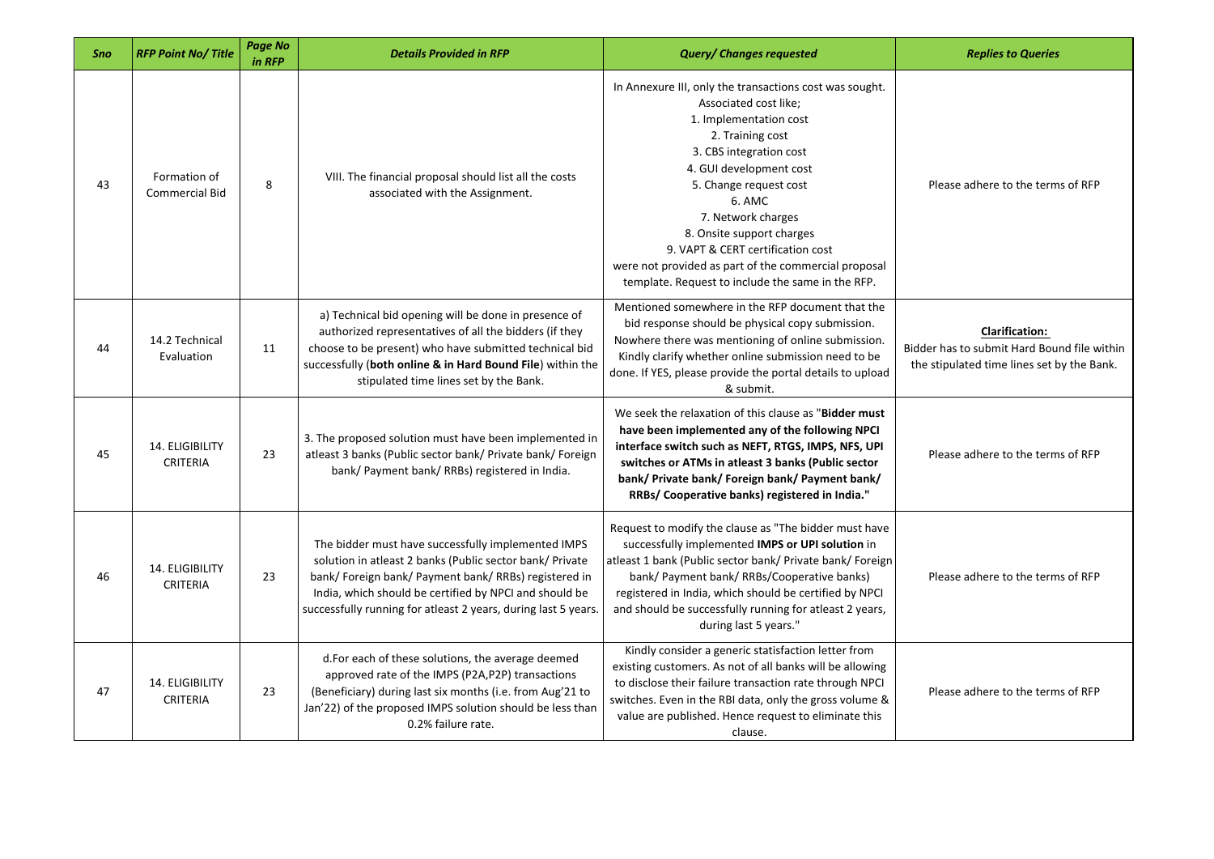| Sno | <b>RFP Point No/Title</b>          | Page No<br>in RFP | <b>Details Provided in RFP</b>                                                                                                                                                                                                                                                                      | <b>Query/ Changes requested</b>                                                                                                                                                                                                                                                                                                                                                                                               | <b>Replies to Queries</b>                                                                                          |
|-----|------------------------------------|-------------------|-----------------------------------------------------------------------------------------------------------------------------------------------------------------------------------------------------------------------------------------------------------------------------------------------------|-------------------------------------------------------------------------------------------------------------------------------------------------------------------------------------------------------------------------------------------------------------------------------------------------------------------------------------------------------------------------------------------------------------------------------|--------------------------------------------------------------------------------------------------------------------|
| 43  | Formation of<br>Commercial Bid     | 8                 | VIII. The financial proposal should list all the costs<br>associated with the Assignment.                                                                                                                                                                                                           | In Annexure III, only the transactions cost was sought.<br>Associated cost like;<br>1. Implementation cost<br>2. Training cost<br>3. CBS integration cost<br>4. GUI development cost<br>5. Change request cost<br>6. AMC<br>7. Network charges<br>8. Onsite support charges<br>9. VAPT & CERT certification cost<br>were not provided as part of the commercial proposal<br>template. Request to include the same in the RFP. | Please adhere to the terms of RFP                                                                                  |
| 44  | 14.2 Technical<br>Evaluation       | 11                | a) Technical bid opening will be done in presence of<br>authorized representatives of all the bidders (if they<br>choose to be present) who have submitted technical bid<br>successfully (both online & in Hard Bound File) within the<br>stipulated time lines set by the Bank.                    | Mentioned somewhere in the RFP document that the<br>bid response should be physical copy submission.<br>Nowhere there was mentioning of online submission.<br>Kindly clarify whether online submission need to be<br>done. If YES, please provide the portal details to upload<br>& submit.                                                                                                                                   | <b>Clarification:</b><br>Bidder has to submit Hard Bound file within<br>the stipulated time lines set by the Bank. |
| 45  | 14. ELIGIBILITY<br><b>CRITERIA</b> | 23                | 3. The proposed solution must have been implemented in<br>atleast 3 banks (Public sector bank/ Private bank/ Foreign<br>bank/ Payment bank/ RRBs) registered in India.                                                                                                                              | We seek the relaxation of this clause as "Bidder must<br>have been implemented any of the following NPCI<br>interface switch such as NEFT, RTGS, IMPS, NFS, UPI<br>switches or ATMs in atleast 3 banks (Public sector<br>bank/ Private bank/ Foreign bank/ Payment bank/<br>RRBs/ Cooperative banks) registered in India."                                                                                                    | Please adhere to the terms of RFP                                                                                  |
| 46  | 14. ELIGIBILITY<br><b>CRITERIA</b> | 23                | The bidder must have successfully implemented IMPS<br>solution in atleast 2 banks (Public sector bank/ Private<br>bank/ Foreign bank/ Payment bank/ RRBs) registered in<br>India, which should be certified by NPCI and should be<br>successfully running for atleast 2 years, during last 5 years. | Request to modify the clause as "The bidder must have<br>successfully implemented IMPS or UPI solution in<br>atleast 1 bank (Public sector bank/ Private bank/ Foreign<br>bank/ Payment bank/ RRBs/Cooperative banks)<br>registered in India, which should be certified by NPCI<br>and should be successfully running for atleast 2 years,<br>during last 5 years."                                                           | Please adhere to the terms of RFP                                                                                  |
| 47  | 14. ELIGIBILITY<br><b>CRITERIA</b> | 23                | d. For each of these solutions, the average deemed<br>approved rate of the IMPS (P2A,P2P) transactions<br>(Beneficiary) during last six months (i.e. from Aug'21 to<br>Jan'22) of the proposed IMPS solution should be less than<br>0.2% failure rate.                                              | Kindly consider a generic statisfaction letter from<br>existing customers. As not of all banks will be allowing<br>to disclose their failure transaction rate through NPCI<br>switches. Even in the RBI data, only the gross volume &<br>value are published. Hence request to eliminate this<br>clause.                                                                                                                      | Please adhere to the terms of RFP                                                                                  |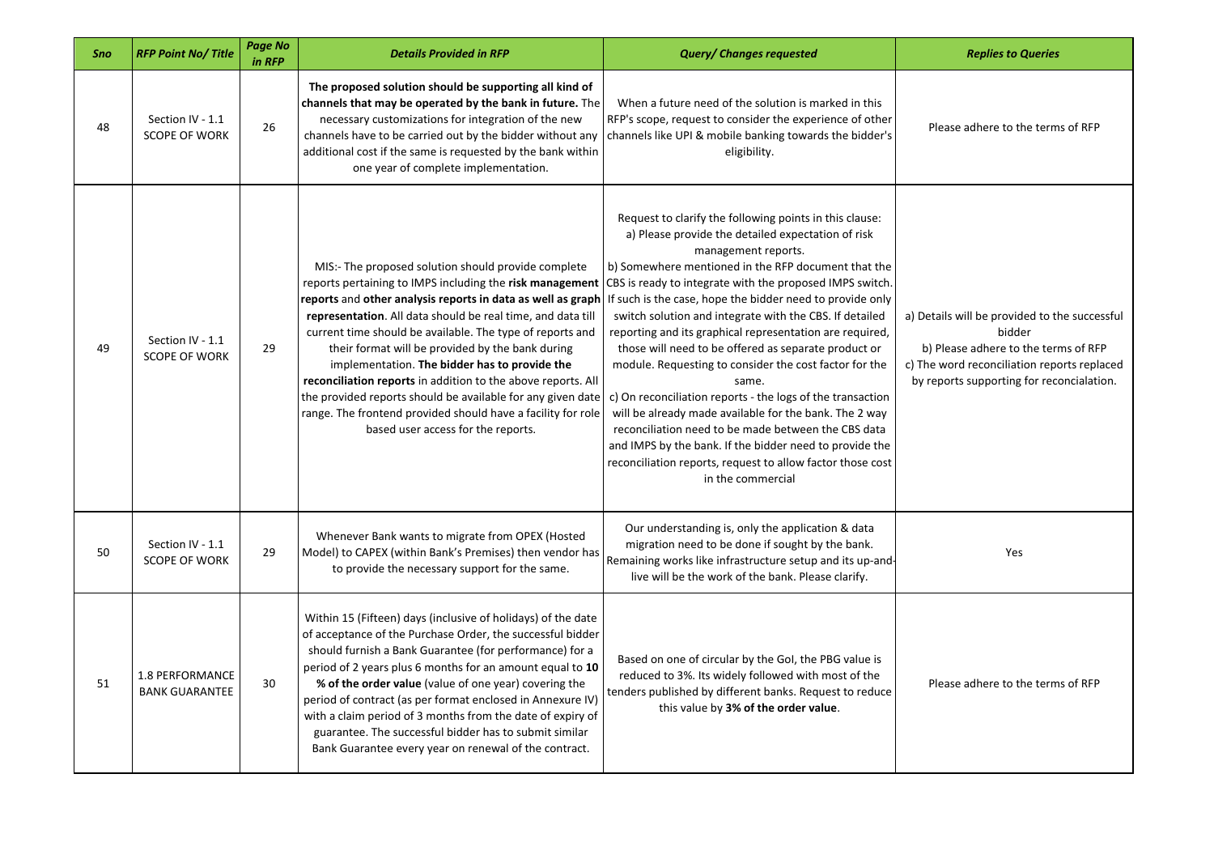| <b>Sno</b> | <b>RFP Point No/Title</b>                       | Page No<br>in RFP | <b>Details Provided in RFP</b>                                                                                                                                                                                                                                                                                                                                                                                                                                                                                                                                                                                                                       | <b>Query/ Changes requested</b>                                                                                                                                                                                                                                                                                                                                                                                                                                                                                                                                                                                                                                                                                                                                                                                                                                                                     | <b>Replies to Queries</b>                                                                                                                                                                   |
|------------|-------------------------------------------------|-------------------|------------------------------------------------------------------------------------------------------------------------------------------------------------------------------------------------------------------------------------------------------------------------------------------------------------------------------------------------------------------------------------------------------------------------------------------------------------------------------------------------------------------------------------------------------------------------------------------------------------------------------------------------------|-----------------------------------------------------------------------------------------------------------------------------------------------------------------------------------------------------------------------------------------------------------------------------------------------------------------------------------------------------------------------------------------------------------------------------------------------------------------------------------------------------------------------------------------------------------------------------------------------------------------------------------------------------------------------------------------------------------------------------------------------------------------------------------------------------------------------------------------------------------------------------------------------------|---------------------------------------------------------------------------------------------------------------------------------------------------------------------------------------------|
| 48         | Section IV - 1.1<br><b>SCOPE OF WORK</b>        | 26                | The proposed solution should be supporting all kind of<br>channels that may be operated by the bank in future. The<br>necessary customizations for integration of the new<br>channels have to be carried out by the bidder without any<br>additional cost if the same is requested by the bank within<br>one year of complete implementation.                                                                                                                                                                                                                                                                                                        | When a future need of the solution is marked in this<br>RFP's scope, request to consider the experience of other<br>channels like UPI & mobile banking towards the bidder's<br>eligibility.                                                                                                                                                                                                                                                                                                                                                                                                                                                                                                                                                                                                                                                                                                         | Please adhere to the terms of RFP                                                                                                                                                           |
| 49         | Section IV - 1.1<br><b>SCOPE OF WORK</b>        | 29                | MIS:- The proposed solution should provide complete<br>reports pertaining to IMPS including the risk management<br>reports and other analysis reports in data as well as graph<br>representation. All data should be real time, and data till<br>current time should be available. The type of reports and<br>their format will be provided by the bank during<br>implementation. The bidder has to provide the<br>reconciliation reports in addition to the above reports. All<br>the provided reports should be available for any given date<br>range. The frontend provided should have a facility for role<br>based user access for the reports. | Request to clarify the following points in this clause:<br>a) Please provide the detailed expectation of risk<br>management reports.<br>b) Somewhere mentioned in the RFP document that the<br>CBS is ready to integrate with the proposed IMPS switch.<br>If such is the case, hope the bidder need to provide only<br>switch solution and integrate with the CBS. If detailed<br>reporting and its graphical representation are required,<br>those will need to be offered as separate product or<br>module. Requesting to consider the cost factor for the<br>same.<br>c) On reconciliation reports - the logs of the transaction<br>will be already made available for the bank. The 2 way<br>reconciliation need to be made between the CBS data<br>and IMPS by the bank. If the bidder need to provide the<br>reconciliation reports, request to allow factor those cost<br>in the commercial | a) Details will be provided to the successful<br>bidder<br>b) Please adhere to the terms of RFP<br>c) The word reconciliation reports replaced<br>by reports supporting for reconcialation. |
| 50         | Section IV - 1.1<br><b>SCOPE OF WORK</b>        | 29                | Whenever Bank wants to migrate from OPEX (Hosted<br>Model) to CAPEX (within Bank's Premises) then vendor has<br>to provide the necessary support for the same.                                                                                                                                                                                                                                                                                                                                                                                                                                                                                       | Our understanding is, only the application & data<br>migration need to be done if sought by the bank.<br>Remaining works like infrastructure setup and its up-and-<br>live will be the work of the bank. Please clarify.                                                                                                                                                                                                                                                                                                                                                                                                                                                                                                                                                                                                                                                                            | Yes                                                                                                                                                                                         |
| 51         | <b>1.8 PERFORMANCE</b><br><b>BANK GUARANTEE</b> | 30                | Within 15 (Fifteen) days (inclusive of holidays) of the date<br>of acceptance of the Purchase Order, the successful bidder<br>should furnish a Bank Guarantee (for performance) for a<br>period of 2 years plus 6 months for an amount equal to 10<br>% of the order value (value of one year) covering the<br>period of contract (as per format enclosed in Annexure IV)<br>with a claim period of 3 months from the date of expiry of<br>guarantee. The successful bidder has to submit similar<br>Bank Guarantee every year on renewal of the contract.                                                                                           | Based on one of circular by the GoI, the PBG value is<br>reduced to 3%. Its widely followed with most of the<br>tenders published by different banks. Request to reduce<br>this value by 3% of the order value.                                                                                                                                                                                                                                                                                                                                                                                                                                                                                                                                                                                                                                                                                     | Please adhere to the terms of RFP                                                                                                                                                           |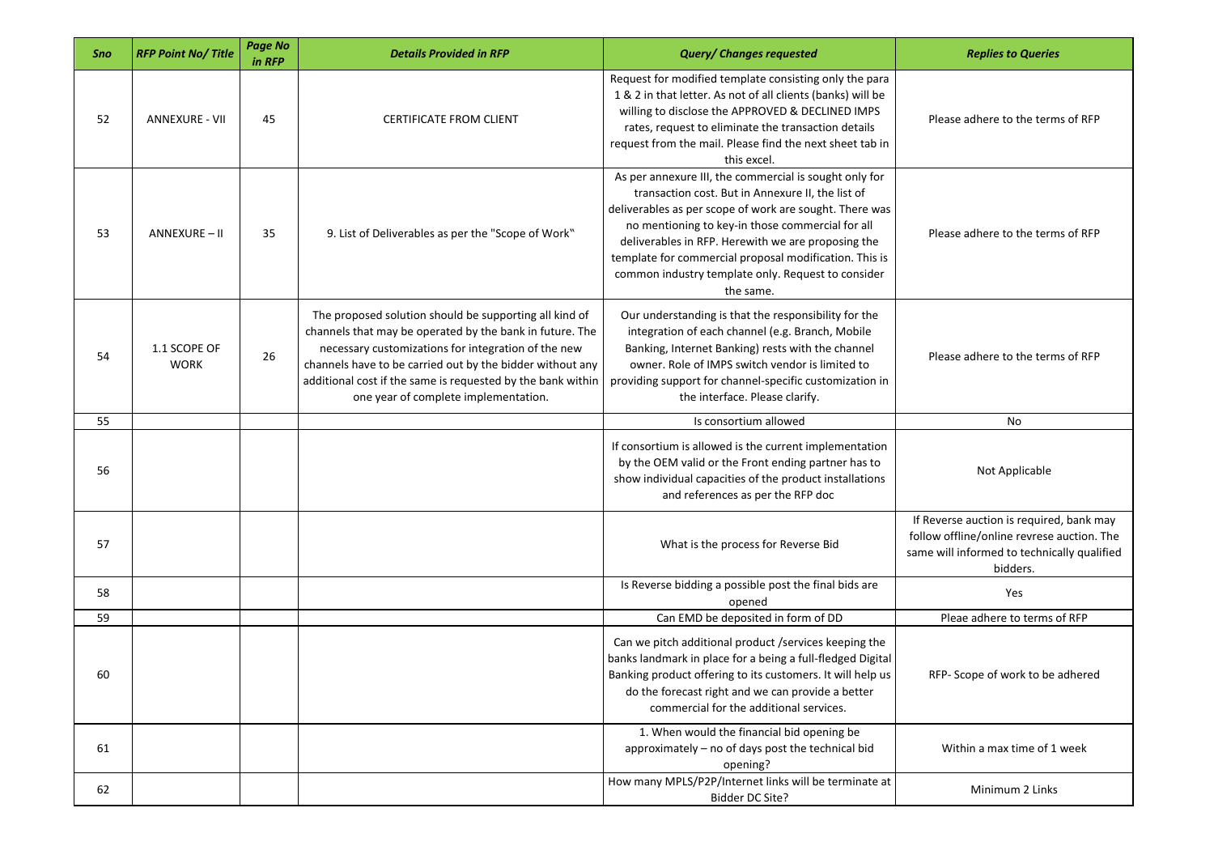| Sno | <b>RFP Point No/Title</b>   | Page No<br>in RFP | <b>Details Provided in RFP</b>                                                                                                                                                                                                                                                                                                                | <b>Query/ Changes requested</b>                                                                                                                                                                                                                                                                                                                                                                               | <b>Replies to Queries</b>                                                                                                                         |
|-----|-----------------------------|-------------------|-----------------------------------------------------------------------------------------------------------------------------------------------------------------------------------------------------------------------------------------------------------------------------------------------------------------------------------------------|---------------------------------------------------------------------------------------------------------------------------------------------------------------------------------------------------------------------------------------------------------------------------------------------------------------------------------------------------------------------------------------------------------------|---------------------------------------------------------------------------------------------------------------------------------------------------|
| 52  | <b>ANNEXURE - VII</b>       | 45                | <b>CERTIFICATE FROM CLIENT</b>                                                                                                                                                                                                                                                                                                                | Request for modified template consisting only the para<br>1 & 2 in that letter. As not of all clients (banks) will be<br>willing to disclose the APPROVED & DECLINED IMPS<br>rates, request to eliminate the transaction details<br>request from the mail. Please find the next sheet tab in<br>this excel.                                                                                                   | Please adhere to the terms of RFP                                                                                                                 |
| 53  | ANNEXURE - II               | 35                | 9. List of Deliverables as per the "Scope of Work"                                                                                                                                                                                                                                                                                            | As per annexure III, the commercial is sought only for<br>transaction cost. But in Annexure II, the list of<br>deliverables as per scope of work are sought. There was<br>no mentioning to key-in those commercial for all<br>deliverables in RFP. Herewith we are proposing the<br>template for commercial proposal modification. This is<br>common industry template only. Request to consider<br>the same. | Please adhere to the terms of RFP                                                                                                                 |
| 54  | 1.1 SCOPE OF<br><b>WORK</b> | 26                | The proposed solution should be supporting all kind of<br>channels that may be operated by the bank in future. The<br>necessary customizations for integration of the new<br>channels have to be carried out by the bidder without any<br>additional cost if the same is requested by the bank within<br>one year of complete implementation. | Our understanding is that the responsibility for the<br>integration of each channel (e.g. Branch, Mobile<br>Banking, Internet Banking) rests with the channel<br>owner. Role of IMPS switch vendor is limited to<br>providing support for channel-specific customization in<br>the interface. Please clarify.                                                                                                 | Please adhere to the terms of RFP                                                                                                                 |
| 55  |                             |                   |                                                                                                                                                                                                                                                                                                                                               | Is consortium allowed                                                                                                                                                                                                                                                                                                                                                                                         | No                                                                                                                                                |
| 56  |                             |                   |                                                                                                                                                                                                                                                                                                                                               | If consortium is allowed is the current implementation<br>by the OEM valid or the Front ending partner has to<br>show individual capacities of the product installations<br>and references as per the RFP doc                                                                                                                                                                                                 | Not Applicable                                                                                                                                    |
| 57  |                             |                   |                                                                                                                                                                                                                                                                                                                                               | What is the process for Reverse Bid                                                                                                                                                                                                                                                                                                                                                                           | If Reverse auction is required, bank may<br>follow offline/online revrese auction. The<br>same will informed to technically qualified<br>bidders. |
| 58  |                             |                   |                                                                                                                                                                                                                                                                                                                                               | Is Reverse bidding a possible post the final bids are<br>opened                                                                                                                                                                                                                                                                                                                                               | Yes                                                                                                                                               |
| 59  |                             |                   |                                                                                                                                                                                                                                                                                                                                               | Can EMD be deposited in form of DD                                                                                                                                                                                                                                                                                                                                                                            | Pleae adhere to terms of RFP                                                                                                                      |
| 60  |                             |                   |                                                                                                                                                                                                                                                                                                                                               | Can we pitch additional product /services keeping the<br>banks landmark in place for a being a full-fledged Digital<br>Banking product offering to its customers. It will help us<br>do the forecast right and we can provide a better<br>commercial for the additional services.                                                                                                                             | RFP-Scope of work to be adhered                                                                                                                   |
| 61  |                             |                   |                                                                                                                                                                                                                                                                                                                                               | 1. When would the financial bid opening be<br>approximately - no of days post the technical bid<br>opening?                                                                                                                                                                                                                                                                                                   | Within a max time of 1 week                                                                                                                       |
| 62  |                             |                   |                                                                                                                                                                                                                                                                                                                                               | How many MPLS/P2P/Internet links will be terminate at<br>Bidder DC Site?                                                                                                                                                                                                                                                                                                                                      | Minimum 2 Links                                                                                                                                   |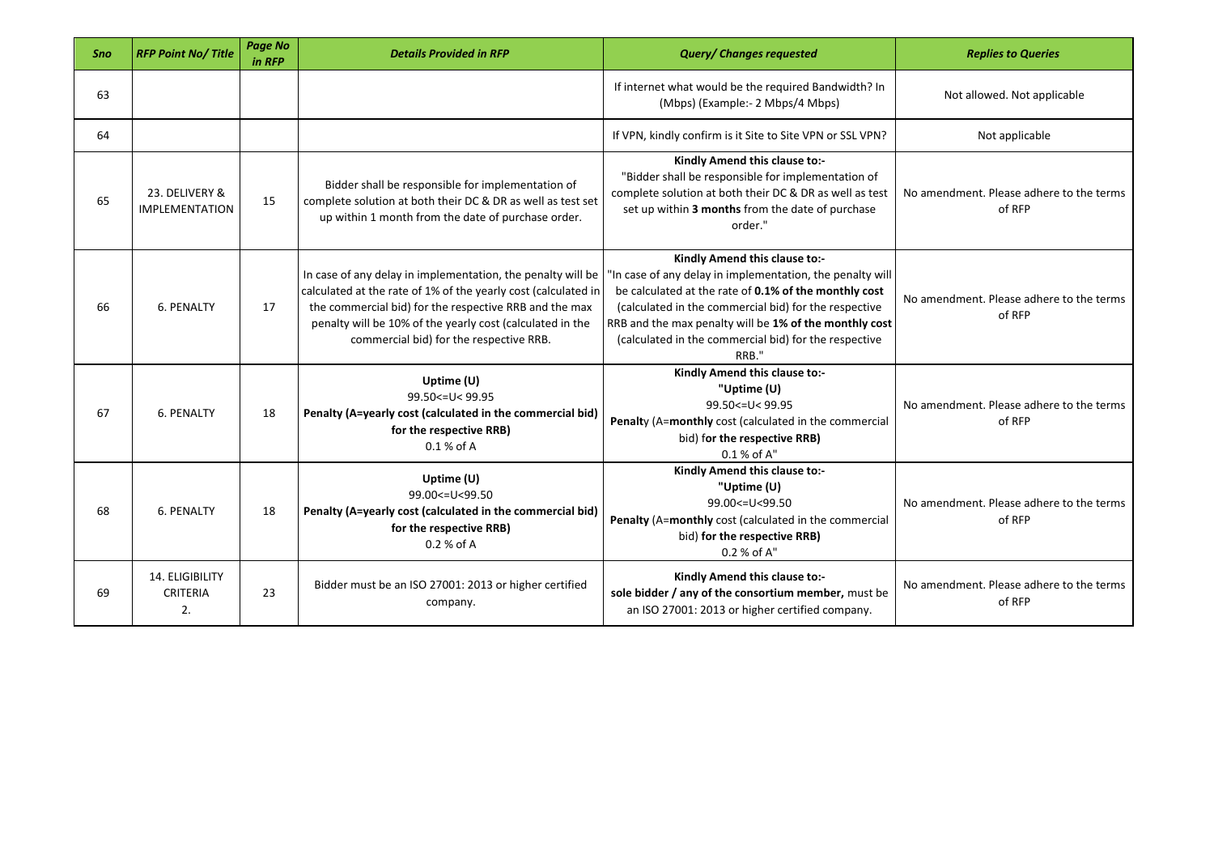| Sno | <b>RFP Point No/Title</b>                | <b>Page No</b><br>in RFP | <b>Details Provided in RFP</b>                                                                                                                                                                                                                                                                  | <b>Query/ Changes requested</b>                                                                                                                                                                                                                                                                                                          | <b>Replies to Queries</b>                          |
|-----|------------------------------------------|--------------------------|-------------------------------------------------------------------------------------------------------------------------------------------------------------------------------------------------------------------------------------------------------------------------------------------------|------------------------------------------------------------------------------------------------------------------------------------------------------------------------------------------------------------------------------------------------------------------------------------------------------------------------------------------|----------------------------------------------------|
| 63  |                                          |                          |                                                                                                                                                                                                                                                                                                 | If internet what would be the required Bandwidth? In<br>(Mbps) (Example:- 2 Mbps/4 Mbps)                                                                                                                                                                                                                                                 | Not allowed. Not applicable                        |
| 64  |                                          |                          |                                                                                                                                                                                                                                                                                                 | If VPN, kindly confirm is it Site to Site VPN or SSL VPN?                                                                                                                                                                                                                                                                                | Not applicable                                     |
| 65  | 23. DELIVERY &<br><b>IMPLEMENTATION</b>  | 15                       | Bidder shall be responsible for implementation of<br>complete solution at both their DC & DR as well as test set<br>up within 1 month from the date of purchase order.                                                                                                                          | Kindly Amend this clause to:-<br>"Bidder shall be responsible for implementation of<br>complete solution at both their DC & DR as well as test<br>set up within 3 months from the date of purchase<br>order."                                                                                                                            | No amendment. Please adhere to the terms<br>of RFP |
| 66  | 6. PENALTY                               | 17                       | In case of any delay in implementation, the penalty will be<br>calculated at the rate of 1% of the yearly cost (calculated in<br>the commercial bid) for the respective RRB and the max<br>penalty will be 10% of the yearly cost (calculated in the<br>commercial bid) for the respective RRB. | Kindly Amend this clause to:-<br>"In case of any delay in implementation, the penalty will<br>be calculated at the rate of 0.1% of the monthly cost<br>(calculated in the commercial bid) for the respective<br>RRB and the max penalty will be 1% of the monthly cost<br>(calculated in the commercial bid) for the respective<br>RRB." | No amendment. Please adhere to the terms<br>of RFP |
| 67  | 6. PENALTY                               | 18                       | Uptime (U)<br>99.50 <= U< 99.95<br>Penalty (A=yearly cost (calculated in the commercial bid)<br>for the respective RRB)<br>$0.1%$ of A                                                                                                                                                          | Kindly Amend this clause to:-<br>"Uptime (U)<br>99.50 <= U< 99.95<br>Penalty (A=monthly cost (calculated in the commercial<br>bid) for the respective RRB)<br>0.1 % of A''                                                                                                                                                               | No amendment. Please adhere to the terms<br>of RFP |
| 68  | 6. PENALTY                               | 18                       | Uptime $(U)$<br>99.00 <= U<99.50<br>Penalty (A=yearly cost (calculated in the commercial bid)<br>for the respective RRB)<br>0.2 % of A                                                                                                                                                          | Kindly Amend this clause to:-<br>"Uptime (U)<br>99.00 <= U<99.50<br>Penalty (A=monthly cost (calculated in the commercial<br>bid) for the respective RRB)<br>0.2 % of A"                                                                                                                                                                 | No amendment. Please adhere to the terms<br>of RFP |
| 69  | 14. ELIGIBILITY<br><b>CRITERIA</b><br>2. | 23                       | Bidder must be an ISO 27001: 2013 or higher certified<br>company.                                                                                                                                                                                                                               | Kindly Amend this clause to:-<br>sole bidder / any of the consortium member, must be<br>an ISO 27001: 2013 or higher certified company.                                                                                                                                                                                                  | No amendment. Please adhere to the terms<br>of RFP |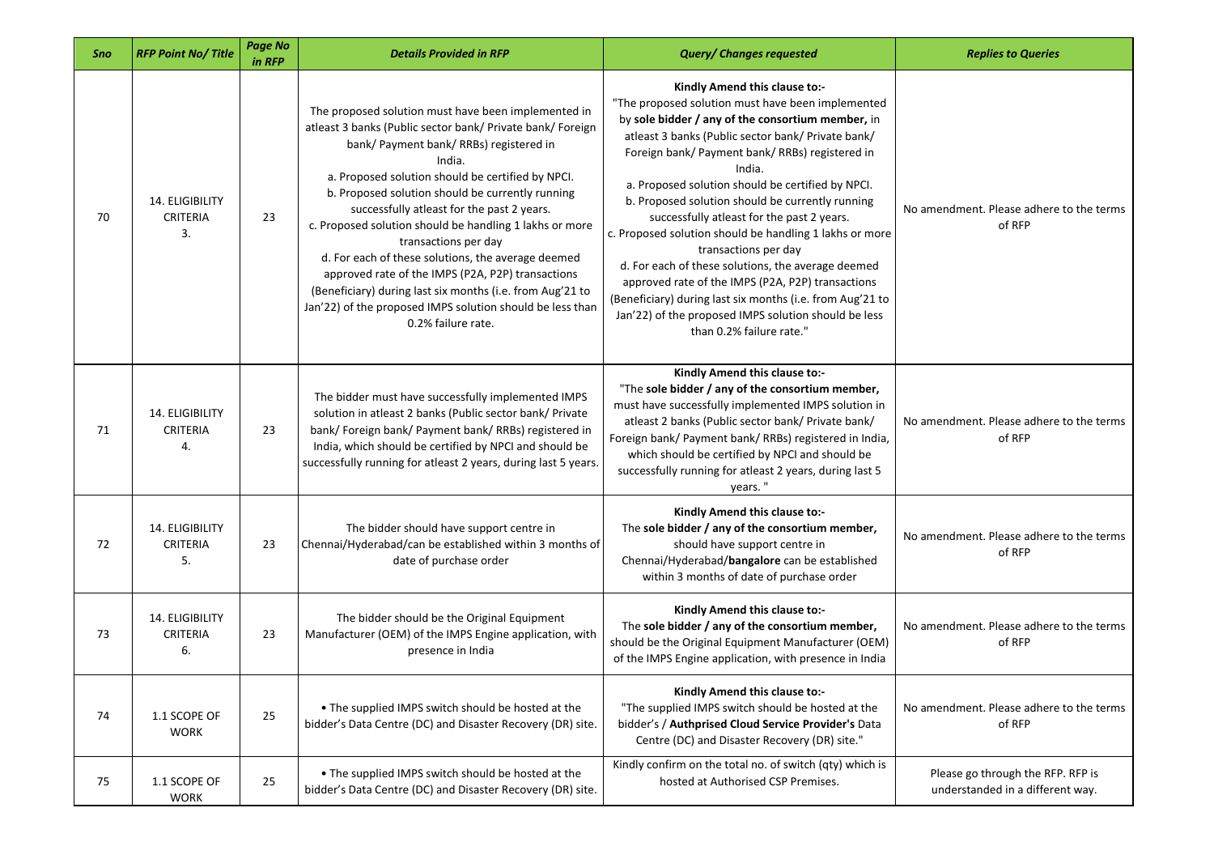| Sno | <b>RFP Point No/Title</b>                | <b>Page No</b><br>in RFP | <b>Details Provided in RFP</b>                                                                                                                                                                                                                                                                                                                                                                                                                                                                                                                                                                                                                                              | <b>Query/ Changes requested</b>                                                                                                                                                                                                                                                                                                                                                                                                                                                                                                                                                                                                                                                                                                                                  | <b>Replies to Queries</b>                                             |
|-----|------------------------------------------|--------------------------|-----------------------------------------------------------------------------------------------------------------------------------------------------------------------------------------------------------------------------------------------------------------------------------------------------------------------------------------------------------------------------------------------------------------------------------------------------------------------------------------------------------------------------------------------------------------------------------------------------------------------------------------------------------------------------|------------------------------------------------------------------------------------------------------------------------------------------------------------------------------------------------------------------------------------------------------------------------------------------------------------------------------------------------------------------------------------------------------------------------------------------------------------------------------------------------------------------------------------------------------------------------------------------------------------------------------------------------------------------------------------------------------------------------------------------------------------------|-----------------------------------------------------------------------|
| 70  | 14. ELIGIBILITY<br><b>CRITERIA</b><br>3. | 23                       | The proposed solution must have been implemented in<br>atleast 3 banks (Public sector bank/ Private bank/ Foreign<br>bank/ Payment bank/ RRBs) registered in<br>India.<br>a. Proposed solution should be certified by NPCI.<br>b. Proposed solution should be currently running<br>successfully atleast for the past 2 years.<br>c. Proposed solution should be handling 1 lakhs or more<br>transactions per day<br>d. For each of these solutions, the average deemed<br>approved rate of the IMPS (P2A, P2P) transactions<br>(Beneficiary) during last six months (i.e. from Aug'21 to<br>Jan'22) of the proposed IMPS solution should be less than<br>0.2% failure rate. | Kindly Amend this clause to:-<br>"The proposed solution must have been implemented<br>by sole bidder / any of the consortium member, in<br>atleast 3 banks (Public sector bank/ Private bank/<br>Foreign bank/ Payment bank/ RRBs) registered in<br>India.<br>a. Proposed solution should be certified by NPCI.<br>b. Proposed solution should be currently running<br>successfully atleast for the past 2 years.<br>c. Proposed solution should be handling 1 lakhs or more<br>transactions per day<br>d. For each of these solutions, the average deemed<br>approved rate of the IMPS (P2A, P2P) transactions<br>(Beneficiary) during last six months (i.e. from Aug'21 to<br>Jan'22) of the proposed IMPS solution should be less<br>than 0.2% failure rate." | No amendment. Please adhere to the terms<br>of RFP                    |
| 71  | 14. ELIGIBILITY<br><b>CRITERIA</b><br>4. | 23                       | The bidder must have successfully implemented IMPS<br>solution in atleast 2 banks (Public sector bank/ Private<br>bank/ Foreign bank/ Payment bank/ RRBs) registered in<br>India, which should be certified by NPCI and should be<br>successfully running for atleast 2 years, during last 5 years.                                                                                                                                                                                                                                                                                                                                                                         | Kindly Amend this clause to:-<br>"The sole bidder / any of the consortium member,<br>must have successfully implemented IMPS solution in<br>atleast 2 banks (Public sector bank/ Private bank/<br>Foreign bank/ Payment bank/ RRBs) registered in India,<br>which should be certified by NPCI and should be<br>successfully running for atleast 2 years, during last 5<br>years."                                                                                                                                                                                                                                                                                                                                                                                | No amendment. Please adhere to the terms<br>of RFP                    |
| 72  | 14. ELIGIBILITY<br><b>CRITERIA</b><br>5. | 23                       | The bidder should have support centre in<br>Chennai/Hyderabad/can be established within 3 months of<br>date of purchase order                                                                                                                                                                                                                                                                                                                                                                                                                                                                                                                                               | Kindly Amend this clause to:-<br>The sole bidder / any of the consortium member,<br>should have support centre in<br>Chennai/Hyderabad/bangalore can be established<br>within 3 months of date of purchase order                                                                                                                                                                                                                                                                                                                                                                                                                                                                                                                                                 | No amendment. Please adhere to the terms<br>of RFP                    |
| 73  | 14. ELIGIBILITY<br>CRITERIA<br>6.        | 23                       | The bidder should be the Original Equipment<br>Manufacturer (OEM) of the IMPS Engine application, with<br>presence in India                                                                                                                                                                                                                                                                                                                                                                                                                                                                                                                                                 | Kindly Amend this clause to:-<br>The sole bidder / any of the consortium member,<br>should be the Original Equipment Manufacturer (OEM)<br>of the IMPS Engine application, with presence in India                                                                                                                                                                                                                                                                                                                                                                                                                                                                                                                                                                | No amendment. Please adhere to the terms<br>of RFP                    |
| 74  | 1.1 SCOPE OF<br><b>WORK</b>              | 25                       | • The supplied IMPS switch should be hosted at the<br>bidder's Data Centre (DC) and Disaster Recovery (DR) site.                                                                                                                                                                                                                                                                                                                                                                                                                                                                                                                                                            | Kindly Amend this clause to:-<br>"The supplied IMPS switch should be hosted at the<br>bidder's / Authprised Cloud Service Provider's Data<br>Centre (DC) and Disaster Recovery (DR) site."                                                                                                                                                                                                                                                                                                                                                                                                                                                                                                                                                                       | No amendment. Please adhere to the terms<br>of RFP                    |
| 75  | 1.1 SCOPE OF<br><b>WORK</b>              | 25                       | • The supplied IMPS switch should be hosted at the<br>bidder's Data Centre (DC) and Disaster Recovery (DR) site.                                                                                                                                                                                                                                                                                                                                                                                                                                                                                                                                                            | Kindly confirm on the total no. of switch (qty) which is<br>hosted at Authorised CSP Premises.                                                                                                                                                                                                                                                                                                                                                                                                                                                                                                                                                                                                                                                                   | Please go through the RFP. RFP is<br>understanded in a different way. |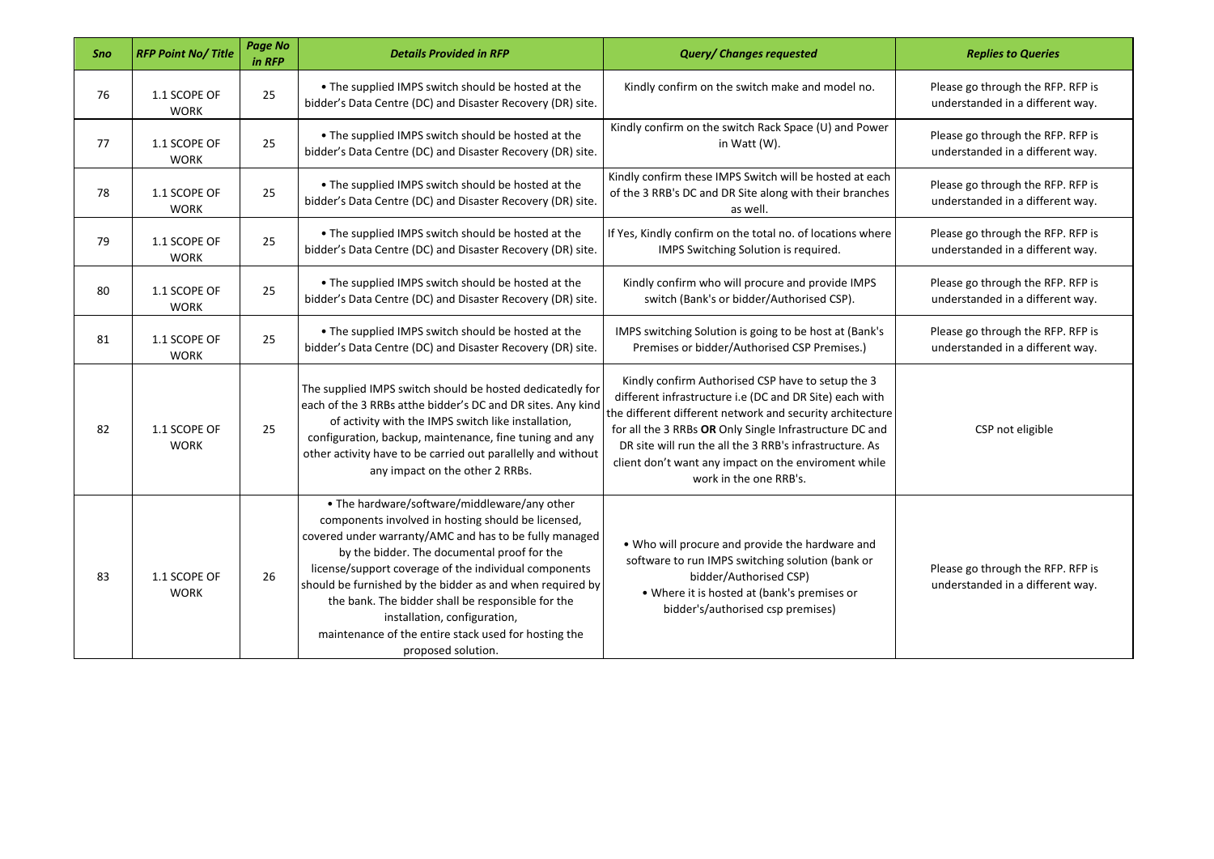| Sno | <b>RFP Point No/Title</b>   | Page No<br>in RFP | <b>Details Provided in RFP</b>                                                                                                                                                                                                                                                                                                                                                                                                                                                                       | <b>Query/ Changes requested</b>                                                                                                                                                                                                                                                                                                                                                   | <b>Replies to Queries</b>                                             |
|-----|-----------------------------|-------------------|------------------------------------------------------------------------------------------------------------------------------------------------------------------------------------------------------------------------------------------------------------------------------------------------------------------------------------------------------------------------------------------------------------------------------------------------------------------------------------------------------|-----------------------------------------------------------------------------------------------------------------------------------------------------------------------------------------------------------------------------------------------------------------------------------------------------------------------------------------------------------------------------------|-----------------------------------------------------------------------|
| 76  | 1.1 SCOPE OF<br><b>WORK</b> | 25                | . The supplied IMPS switch should be hosted at the<br>bidder's Data Centre (DC) and Disaster Recovery (DR) site.                                                                                                                                                                                                                                                                                                                                                                                     | Kindly confirm on the switch make and model no.                                                                                                                                                                                                                                                                                                                                   | Please go through the RFP. RFP is<br>understanded in a different way. |
| 77  | 1.1 SCOPE OF<br><b>WORK</b> | 25                | . The supplied IMPS switch should be hosted at the<br>bidder's Data Centre (DC) and Disaster Recovery (DR) site.                                                                                                                                                                                                                                                                                                                                                                                     | Kindly confirm on the switch Rack Space (U) and Power<br>in Watt (W).                                                                                                                                                                                                                                                                                                             | Please go through the RFP. RFP is<br>understanded in a different way. |
| 78  | 1.1 SCOPE OF<br><b>WORK</b> | 25                | . The supplied IMPS switch should be hosted at the<br>bidder's Data Centre (DC) and Disaster Recovery (DR) site.                                                                                                                                                                                                                                                                                                                                                                                     | Kindly confirm these IMPS Switch will be hosted at each<br>of the 3 RRB's DC and DR Site along with their branches<br>as well.                                                                                                                                                                                                                                                    | Please go through the RFP. RFP is<br>understanded in a different way. |
| 79  | 1.1 SCOPE OF<br><b>WORK</b> | 25                | . The supplied IMPS switch should be hosted at the<br>bidder's Data Centre (DC) and Disaster Recovery (DR) site.                                                                                                                                                                                                                                                                                                                                                                                     | If Yes, Kindly confirm on the total no. of locations where<br>IMPS Switching Solution is required.                                                                                                                                                                                                                                                                                | Please go through the RFP. RFP is<br>understanded in a different way. |
| 80  | 1.1 SCOPE OF<br><b>WORK</b> | 25                | . The supplied IMPS switch should be hosted at the<br>bidder's Data Centre (DC) and Disaster Recovery (DR) site.                                                                                                                                                                                                                                                                                                                                                                                     | Kindly confirm who will procure and provide IMPS<br>switch (Bank's or bidder/Authorised CSP).                                                                                                                                                                                                                                                                                     | Please go through the RFP. RFP is<br>understanded in a different way. |
| 81  | 1.1 SCOPE OF<br><b>WORK</b> | 25                | . The supplied IMPS switch should be hosted at the<br>bidder's Data Centre (DC) and Disaster Recovery (DR) site.                                                                                                                                                                                                                                                                                                                                                                                     | IMPS switching Solution is going to be host at (Bank's<br>Premises or bidder/Authorised CSP Premises.)                                                                                                                                                                                                                                                                            | Please go through the RFP. RFP is<br>understanded in a different way. |
| 82  | 1.1 SCOPE OF<br><b>WORK</b> | 25                | The supplied IMPS switch should be hosted dedicatedly for<br>each of the 3 RRBs atthe bidder's DC and DR sites. Any kind<br>of activity with the IMPS switch like installation,<br>configuration, backup, maintenance, fine tuning and any<br>other activity have to be carried out parallelly and without<br>any impact on the other 2 RRBs.                                                                                                                                                        | Kindly confirm Authorised CSP have to setup the 3<br>different infrastructure i.e (DC and DR Site) each with<br>the different different network and security architecture<br>for all the 3 RRBs OR Only Single Infrastructure DC and<br>DR site will run the all the 3 RRB's infrastructure. As<br>client don't want any impact on the enviroment while<br>work in the one RRB's. | CSP not eligible                                                      |
| 83  | 1.1 SCOPE OF<br><b>WORK</b> | 26                | • The hardware/software/middleware/any other<br>components involved in hosting should be licensed,<br>covered under warranty/AMC and has to be fully managed<br>by the bidder. The documental proof for the<br>license/support coverage of the individual components<br>should be furnished by the bidder as and when required by<br>the bank. The bidder shall be responsible for the<br>installation, configuration,<br>maintenance of the entire stack used for hosting the<br>proposed solution. | . Who will procure and provide the hardware and<br>software to run IMPS switching solution (bank or<br>bidder/Authorised CSP)<br>• Where it is hosted at (bank's premises or<br>bidder's/authorised csp premises)                                                                                                                                                                 | Please go through the RFP. RFP is<br>understanded in a different way. |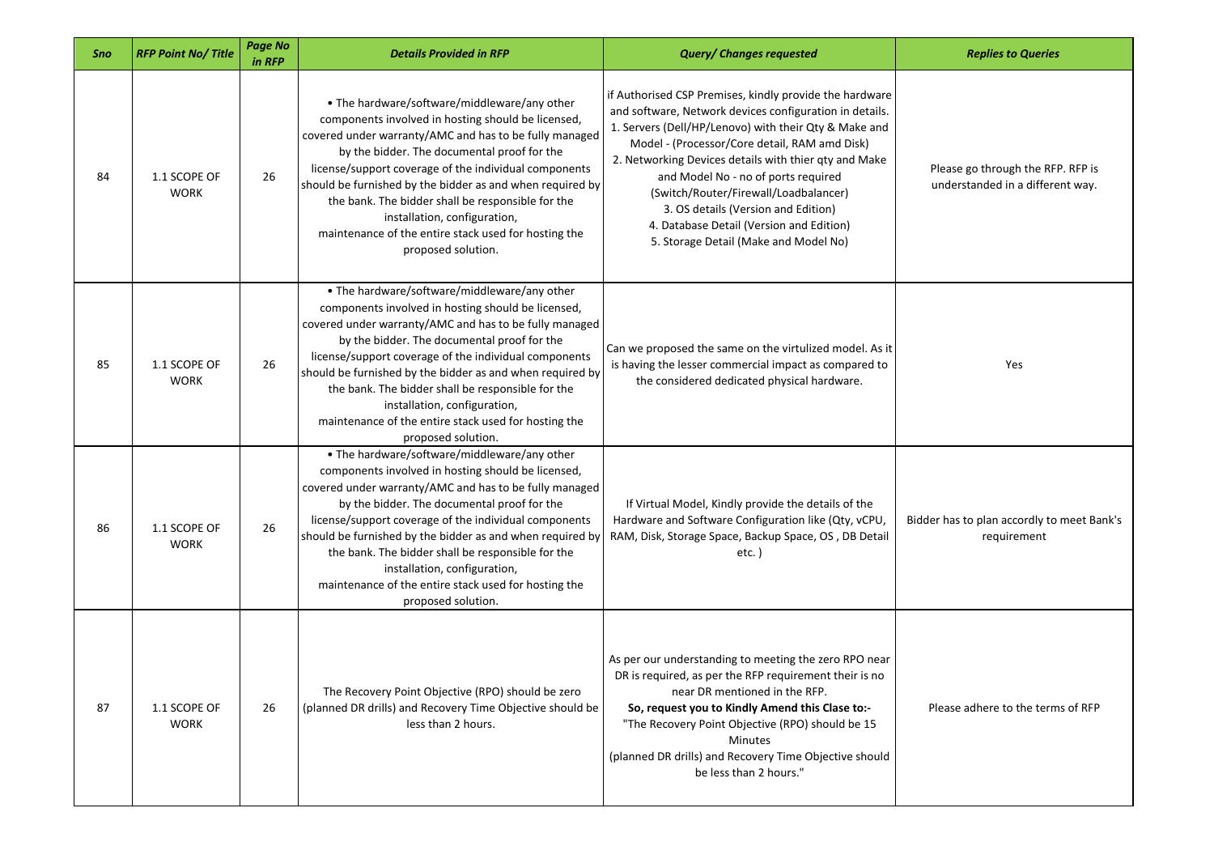| Sno | <b>RFP Point No/Title</b>   | Page No<br>in RFP | <b>Details Provided in RFP</b>                                                                                                                                                                                                                                                                                                                                                                                                                                                                       | <b>Query/ Changes requested</b>                                                                                                                                                                                                                                                                                                                                                                                                                                                                   | <b>Replies to Queries</b>                                             |
|-----|-----------------------------|-------------------|------------------------------------------------------------------------------------------------------------------------------------------------------------------------------------------------------------------------------------------------------------------------------------------------------------------------------------------------------------------------------------------------------------------------------------------------------------------------------------------------------|---------------------------------------------------------------------------------------------------------------------------------------------------------------------------------------------------------------------------------------------------------------------------------------------------------------------------------------------------------------------------------------------------------------------------------------------------------------------------------------------------|-----------------------------------------------------------------------|
| 84  | 1.1 SCOPE OF<br><b>WORK</b> | 26                | • The hardware/software/middleware/any other<br>components involved in hosting should be licensed,<br>covered under warranty/AMC and has to be fully managed<br>by the bidder. The documental proof for the<br>license/support coverage of the individual components<br>should be furnished by the bidder as and when required by<br>the bank. The bidder shall be responsible for the<br>installation, configuration,<br>maintenance of the entire stack used for hosting the<br>proposed solution. | if Authorised CSP Premises, kindly provide the hardware<br>and software, Network devices configuration in details.<br>1. Servers (Dell/HP/Lenovo) with their Qty & Make and<br>Model - (Processor/Core detail, RAM amd Disk)<br>2. Networking Devices details with thier qty and Make<br>and Model No - no of ports required<br>(Switch/Router/Firewall/Loadbalancer)<br>3. OS details (Version and Edition)<br>4. Database Detail (Version and Edition)<br>5. Storage Detail (Make and Model No) | Please go through the RFP. RFP is<br>understanded in a different way. |
| 85  | 1.1 SCOPE OF<br><b>WORK</b> | 26                | • The hardware/software/middleware/any other<br>components involved in hosting should be licensed,<br>covered under warranty/AMC and has to be fully managed<br>by the bidder. The documental proof for the<br>license/support coverage of the individual components<br>should be furnished by the bidder as and when required by<br>the bank. The bidder shall be responsible for the<br>installation, configuration,<br>maintenance of the entire stack used for hosting the<br>proposed solution. | Can we proposed the same on the virtulized model. As it<br>is having the lesser commercial impact as compared to<br>the considered dedicated physical hardware.                                                                                                                                                                                                                                                                                                                                   | Yes                                                                   |
| 86  | 1.1 SCOPE OF<br><b>WORK</b> | 26                | • The hardware/software/middleware/any other<br>components involved in hosting should be licensed,<br>covered under warranty/AMC and has to be fully managed<br>by the bidder. The documental proof for the<br>license/support coverage of the individual components<br>should be furnished by the bidder as and when required by<br>the bank. The bidder shall be responsible for the<br>installation, configuration,<br>maintenance of the entire stack used for hosting the<br>proposed solution. | If Virtual Model, Kindly provide the details of the<br>Hardware and Software Configuration like (Qty, vCPU,<br>RAM, Disk, Storage Space, Backup Space, OS, DB Detail<br>$etc.$ )                                                                                                                                                                                                                                                                                                                  | Bidder has to plan accordly to meet Bank's<br>requirement             |
| 87  | 1.1 SCOPE OF<br><b>WORK</b> | 26                | The Recovery Point Objective (RPO) should be zero<br>(planned DR drills) and Recovery Time Objective should be<br>less than 2 hours.                                                                                                                                                                                                                                                                                                                                                                 | As per our understanding to meeting the zero RPO near<br>DR is required, as per the RFP requirement their is no<br>near DR mentioned in the RFP.<br>So, request you to Kindly Amend this Clase to:-<br>"The Recovery Point Objective (RPO) should be 15<br><b>Minutes</b><br>(planned DR drills) and Recovery Time Objective should<br>be less than 2 hours."                                                                                                                                     | Please adhere to the terms of RFP                                     |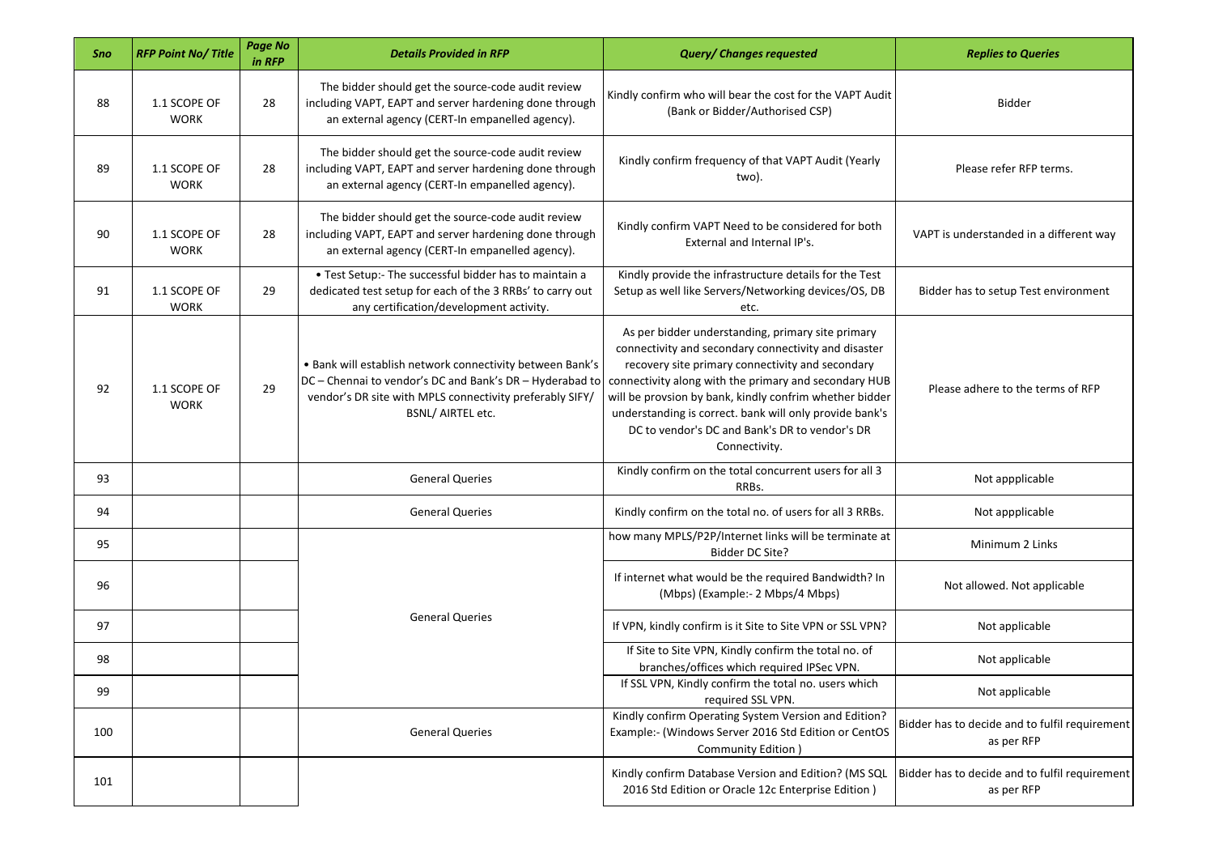| Sno | <b>RFP Point No/Title</b>   | <b>Page No</b><br>in RFP | <b>Details Provided in RFP</b>                                                                                                                                                                         | <b>Query/ Changes requested</b>                                                                                                                                                                                                                                                                                                                                                                                 | <b>Replies to Queries</b>                                    |
|-----|-----------------------------|--------------------------|--------------------------------------------------------------------------------------------------------------------------------------------------------------------------------------------------------|-----------------------------------------------------------------------------------------------------------------------------------------------------------------------------------------------------------------------------------------------------------------------------------------------------------------------------------------------------------------------------------------------------------------|--------------------------------------------------------------|
| 88  | 1.1 SCOPE OF<br><b>WORK</b> | 28                       | The bidder should get the source-code audit review<br>including VAPT, EAPT and server hardening done through<br>an external agency (CERT-In empanelled agency).                                        | Kindly confirm who will bear the cost for the VAPT Audit<br>(Bank or Bidder/Authorised CSP)                                                                                                                                                                                                                                                                                                                     | Bidder                                                       |
| 89  | 1.1 SCOPE OF<br><b>WORK</b> | 28                       | The bidder should get the source-code audit review<br>including VAPT, EAPT and server hardening done through<br>an external agency (CERT-In empanelled agency).                                        | Kindly confirm frequency of that VAPT Audit (Yearly<br>two).                                                                                                                                                                                                                                                                                                                                                    | Please refer RFP terms.                                      |
| 90  | 1.1 SCOPE OF<br><b>WORK</b> | 28                       | The bidder should get the source-code audit review<br>including VAPT, EAPT and server hardening done through<br>an external agency (CERT-In empanelled agency).                                        | Kindly confirm VAPT Need to be considered for both<br>External and Internal IP's.                                                                                                                                                                                                                                                                                                                               | VAPT is understanded in a different way                      |
| 91  | 1.1 SCOPE OF<br><b>WORK</b> | 29                       | • Test Setup:- The successful bidder has to maintain a<br>dedicated test setup for each of the 3 RRBs' to carry out<br>any certification/development activity.                                         | Kindly provide the infrastructure details for the Test<br>Setup as well like Servers/Networking devices/OS, DB<br>etc.                                                                                                                                                                                                                                                                                          | Bidder has to setup Test environment                         |
| 92  | 1.1 SCOPE OF<br><b>WORK</b> | 29                       | . Bank will establish network connectivity between Bank's<br>DC - Chennai to vendor's DC and Bank's DR - Hyderabad to<br>vendor's DR site with MPLS connectivity preferably SIFY/<br>BSNL/ AIRTEL etc. | As per bidder understanding, primary site primary<br>connectivity and secondary connectivity and disaster<br>recovery site primary connectivity and secondary<br>connectivity along with the primary and secondary HUB<br>will be provsion by bank, kindly confrim whether bidder<br>understanding is correct. bank will only provide bank's<br>DC to vendor's DC and Bank's DR to vendor's DR<br>Connectivity. | Please adhere to the terms of RFP                            |
| 93  |                             |                          | <b>General Queries</b>                                                                                                                                                                                 | Kindly confirm on the total concurrent users for all 3<br>RRBs.                                                                                                                                                                                                                                                                                                                                                 | Not appplicable                                              |
| 94  |                             |                          | <b>General Queries</b>                                                                                                                                                                                 | Kindly confirm on the total no. of users for all 3 RRBs.                                                                                                                                                                                                                                                                                                                                                        | Not appplicable                                              |
| 95  |                             |                          |                                                                                                                                                                                                        | how many MPLS/P2P/Internet links will be terminate at<br>Bidder DC Site?                                                                                                                                                                                                                                                                                                                                        | Minimum 2 Links                                              |
| 96  |                             |                          | <b>General Queries</b>                                                                                                                                                                                 | If internet what would be the required Bandwidth? In<br>(Mbps) (Example:- 2 Mbps/4 Mbps)                                                                                                                                                                                                                                                                                                                        | Not allowed. Not applicable                                  |
| 97  |                             |                          |                                                                                                                                                                                                        | If VPN, kindly confirm is it Site to Site VPN or SSL VPN?                                                                                                                                                                                                                                                                                                                                                       | Not applicable                                               |
| 98  |                             |                          |                                                                                                                                                                                                        | If Site to Site VPN, Kindly confirm the total no. of<br>branches/offices which required IPSec VPN.                                                                                                                                                                                                                                                                                                              | Not applicable                                               |
| 99  |                             |                          |                                                                                                                                                                                                        | If SSL VPN, Kindly confirm the total no. users which<br>required SSL VPN.                                                                                                                                                                                                                                                                                                                                       | Not applicable                                               |
| 100 |                             |                          | <b>General Queries</b>                                                                                                                                                                                 | Kindly confirm Operating System Version and Edition?<br>Example:- (Windows Server 2016 Std Edition or CentOS<br>Community Edition )                                                                                                                                                                                                                                                                             | Bidder has to decide and to fulfil requirement<br>as per RFP |
| 101 |                             |                          |                                                                                                                                                                                                        | Kindly confirm Database Version and Edition? (MS SQL<br>2016 Std Edition or Oracle 12c Enterprise Edition)                                                                                                                                                                                                                                                                                                      | Bidder has to decide and to fulfil requirement<br>as per RFP |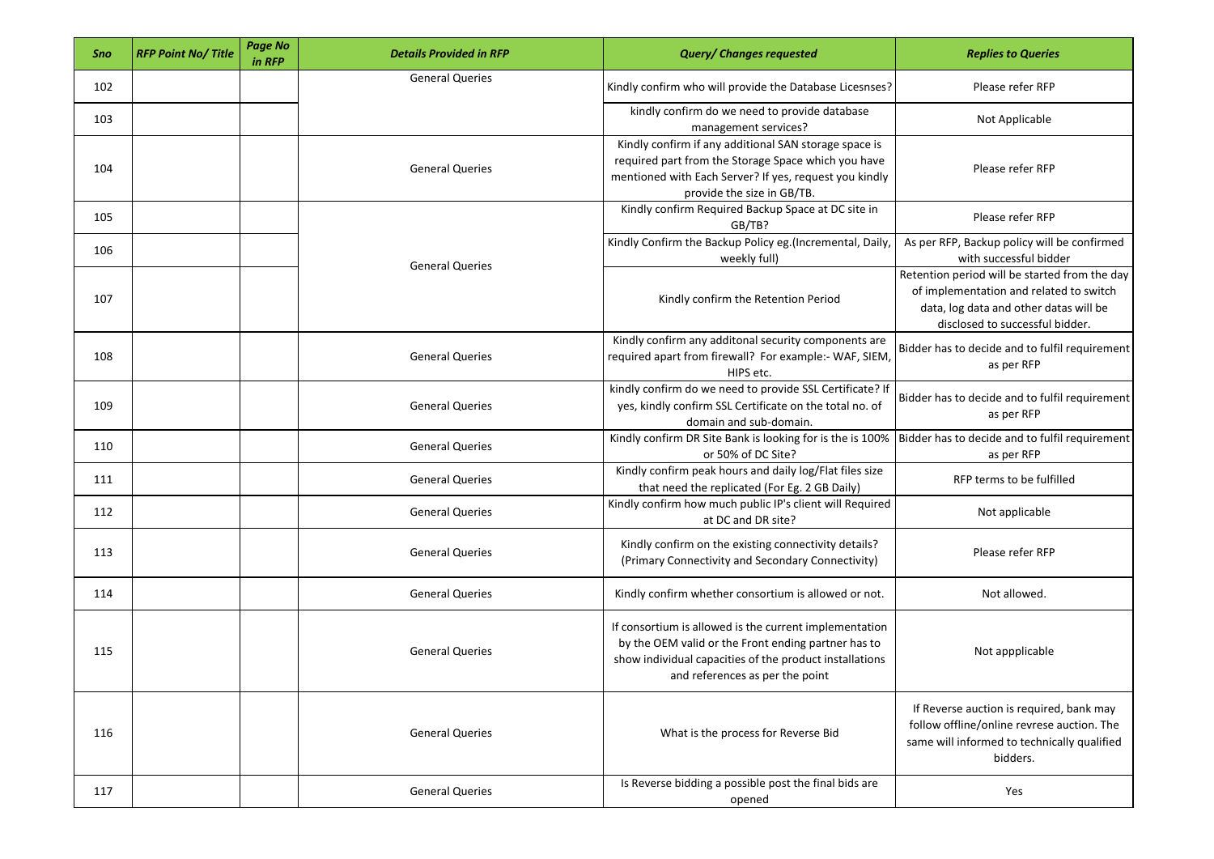| Sno | <b>RFP Point No/Title</b> | <b>Page No</b><br>in RFP | <b>Details Provided in RFP</b> | <b>Query/ Changes requested</b>                                                                                                                                                                             | <b>Replies to Queries</b>                                                                                                                                             |
|-----|---------------------------|--------------------------|--------------------------------|-------------------------------------------------------------------------------------------------------------------------------------------------------------------------------------------------------------|-----------------------------------------------------------------------------------------------------------------------------------------------------------------------|
| 102 |                           |                          | <b>General Queries</b>         | Kindly confirm who will provide the Database Licesnses?                                                                                                                                                     | Please refer RFP                                                                                                                                                      |
| 103 |                           |                          |                                | kindly confirm do we need to provide database<br>management services?                                                                                                                                       | Not Applicable                                                                                                                                                        |
| 104 |                           |                          | <b>General Queries</b>         | Kindly confirm if any additional SAN storage space is<br>required part from the Storage Space which you have<br>mentioned with Each Server? If yes, request you kindly<br>provide the size in GB/TB.        | Please refer RFP                                                                                                                                                      |
| 105 |                           |                          |                                | Kindly confirm Required Backup Space at DC site in<br>GB/TB?                                                                                                                                                | Please refer RFP                                                                                                                                                      |
| 106 |                           |                          | <b>General Queries</b>         | Kindly Confirm the Backup Policy eg.(Incremental, Daily,<br>weekly full)                                                                                                                                    | As per RFP, Backup policy will be confirmed<br>with successful bidder                                                                                                 |
| 107 |                           |                          |                                | Kindly confirm the Retention Period                                                                                                                                                                         | Retention period will be started from the day<br>of implementation and related to switch<br>data, log data and other datas will be<br>disclosed to successful bidder. |
| 108 |                           |                          | <b>General Queries</b>         | Kindly confirm any additonal security components are<br>required apart from firewall? For example:- WAF, SIEM,<br>HIPS etc.                                                                                 | Bidder has to decide and to fulfil requirement<br>as per RFP                                                                                                          |
| 109 |                           |                          | <b>General Queries</b>         | kindly confirm do we need to provide SSL Certificate? If<br>yes, kindly confirm SSL Certificate on the total no. of<br>domain and sub-domain.                                                               | Bidder has to decide and to fulfil requirement<br>as per RFP                                                                                                          |
| 110 |                           |                          | <b>General Queries</b>         | Kindly confirm DR Site Bank is looking for is the is 100%<br>or 50% of DC Site?                                                                                                                             | Bidder has to decide and to fulfil requirement<br>as per RFP                                                                                                          |
| 111 |                           |                          | <b>General Queries</b>         | Kindly confirm peak hours and daily log/Flat files size<br>that need the replicated (For Eg. 2 GB Daily)                                                                                                    | RFP terms to be fulfilled                                                                                                                                             |
| 112 |                           |                          | <b>General Queries</b>         | Kindly confirm how much public IP's client will Required<br>at DC and DR site?                                                                                                                              | Not applicable                                                                                                                                                        |
| 113 |                           |                          | <b>General Queries</b>         | Kindly confirm on the existing connectivity details?<br>(Primary Connectivity and Secondary Connectivity)                                                                                                   | Please refer RFP                                                                                                                                                      |
| 114 |                           |                          | <b>General Queries</b>         | Kindly confirm whether consortium is allowed or not.                                                                                                                                                        | Not allowed.                                                                                                                                                          |
| 115 |                           |                          | <b>General Queries</b>         | If consortium is allowed is the current implementation<br>by the OEM valid or the Front ending partner has to<br>show individual capacities of the product installations<br>and references as per the point | Not appplicable                                                                                                                                                       |
| 116 |                           |                          | <b>General Queries</b>         | What is the process for Reverse Bid                                                                                                                                                                         | If Reverse auction is required, bank may<br>follow offline/online revrese auction. The<br>same will informed to technically qualified<br>bidders.                     |
| 117 |                           |                          | <b>General Queries</b>         | Is Reverse bidding a possible post the final bids are<br>opened                                                                                                                                             | Yes                                                                                                                                                                   |